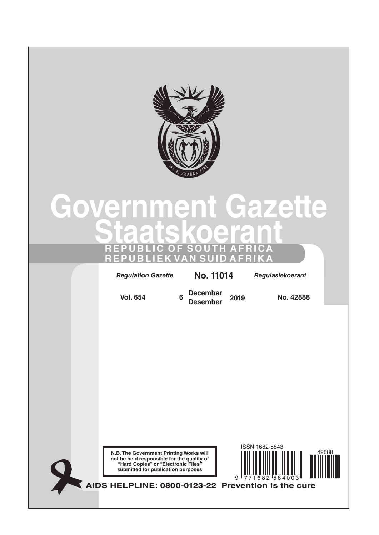

# **Government Gazette Staatskoerant REPUBLIC OF SOUTH AFRICA REPUBLIEK VAN SUID AFRIKA**

*Regulation Gazette* **No. 10177** *Regulasiekoerant Regulation Gazette* **No. 11014** *Regulasiekoerant*

**Vol. 654 <sup>6</sup> December Desember <sup>2019</sup> No. 42888**





**AIDS HELPLINE: 0800-0123-22 Prevention is the cure**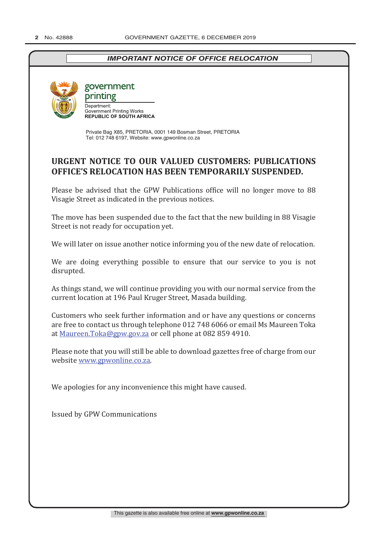# *IMPORTANT NOTICE OF OFFICE RELOCATION*



government printing

Denartment: **Government Printing Works<br>
REPUBLIC OF SOUTH AFRICA** 

Private Bag X85, PRETORIA, 0001 149 Bosman Street, PRETORIA Tel: 012 748 6197, Website: www.gpwonline.co.za

# **URGENT NOTICE TO OUR VALUED CUSTOMERS: PUBLICATIONS OFFICE'S RELOCATION HAS BEEN TEMPORARILY SUSPENDED.**

Please be advised that the GPW Publications office will no longer move to 88 Visagie Street as indicated in the previous notices.

The move has been suspended due to the fact that the new building in 88 Visagie Street is not ready for occupation yet.

We will later on issue another notice informing you of the new date of relocation.

We are doing everything possible to ensure that our service to you is not disrupted.

As things stand, we will continue providing you with our normal service from the current location at 196 Paul Kruger Street, Masada building.

Customers who seek further information and or have any questions or concerns are free to contact us through telephone 012 748 6066 or email Ms Maureen Toka at Maureen.Toka@gpw.gov.za or cell phone at 082 859 4910.

Please note that you will still be able to download gazettes free of charge from our website www.gpwonline.co.za.

We apologies for any inconvenience this might have caused.

Issued by GPW Communications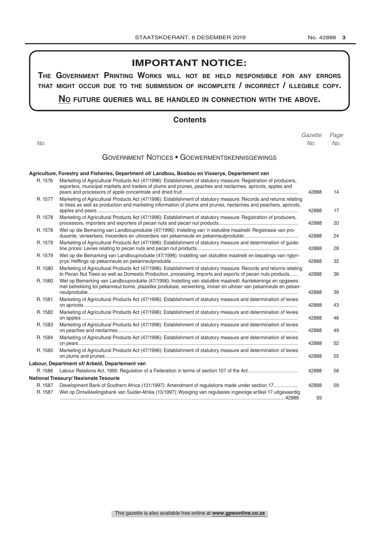# **IMPORTANT NOTICE:**

**The GovernmenT PrinTinG Works Will noT be held resPonsible for any errors ThaT miGhT occur due To The submission of incomPleTe / incorrecT / illeGible coPy.**

# **no fuTure queries Will be handled in connecTion WiTh The above.**

# **Contents**

|         |                                                                                                                                                                                                                                        | Gazette | Page |
|---------|----------------------------------------------------------------------------------------------------------------------------------------------------------------------------------------------------------------------------------------|---------|------|
| No.     |                                                                                                                                                                                                                                        | No.     | No.  |
|         | <b>GOVERNMENT NOTICES • GOEWERMENTSKENNISGEWINGS</b>                                                                                                                                                                                   |         |      |
|         | Agriculture, Forestry and Fisheries, Department of/ Landbou, Bosbou en Visserye, Departement van                                                                                                                                       |         |      |
| R. 1576 | Marketing of Agricultural Products Act (47/1996): Establishment of statutory measure: Registration of producers,<br>exporters, municipal markets and traders of plums and prunes, peaches and nectarines, apricots, apples and         | 42888   | 14   |
| R. 1577 | Marketing of Agricultural Products Act (47/1996): Establishment of statutory measure: Records and returns relating<br>to trees as well as production and marketing information of plums and prunes, nectarines and peachers, apricots, | 42888   | 17   |
| R. 1578 | Marketing of Agricultural Products Act (47/1996): Establishment of statutory measure: Registration of producers,                                                                                                                       | 42888   | 20   |
| R. 1578 | Wet op die Bemaring van Landbouprodukte (47/1996): Instelling van 'n statutêre maatreël: Registrasie van pro-                                                                                                                          | 42888   | 24   |
| R. 1579 | Marketing of Agricultural Products Act (47/1996): Establishment of statutory measure and determination of guide-                                                                                                                       | 42888   | 28   |
| R. 1579 | Wet op die Bemarking van Landbouprodukte (47/1996): Instelling van statutêre maatreël en bepalings van riglyn-                                                                                                                         | 42888   | 32   |
| R. 1580 | Marketing of Agricultural Products Act (47/1996): Establishment of statutory measure: Records and returns relating<br>to Pecan Nut Trees as well as Domestic Production, processing, imports and exports of pecan nuts products        | 42888   | 36   |
| R. 1580 | Wet op Bemarking van Landbouprodukte (47/1996): Instelling van statutêre maatreël: Aantekeninge en opgawes<br>met betrekking tot pekanneut bome, plaaslike produksie, verwerking, invoer en uitvoer van pekanneute en pekan-           | 42888   | 39   |
| R. 1581 | Marketing of Agricultural Products Act (47/1996): Establishment of statutory measure and determination of levies                                                                                                                       | 42888   | 43   |
| R. 1582 | Marketing of Agricultural Products Act (47/1996): Establishment of statutory measure and determination of levies                                                                                                                       | 42888   | 46   |
| R. 1583 | Marketing of Agricultural Products Act (47/1996): Establishment of statutory measure and determination of levies                                                                                                                       | 42888   | 49   |
| R. 1584 | Marketing of Agricultural Products Act (47/1996): Establishment of statutory measure and determination of levies                                                                                                                       | 42888   | 52   |
| R. 1585 | Marketing of Agricultural Products Act (47/1996): Establishment of statutory measure and determination of levies                                                                                                                       | 42888   | 55   |
|         | Labour, Department of/ Arbeid, Departement van                                                                                                                                                                                         |         |      |
| R. 1586 |                                                                                                                                                                                                                                        | 42888   | 58   |
|         | National Treasury/ Nasionale Tesourie                                                                                                                                                                                                  |         |      |
| R. 1587 | Development Bank of Southern Africa (131/1997): Amendment of regulations made under section 17                                                                                                                                         | 42888   | 59   |
| R. 1587 | Wet op Ontwikkelingsbank van Suider-Afrika (13/1997): Wysiging van regulasies ingevolge artikel 17 uitgevaardig                                                                                                                        | 59      |      |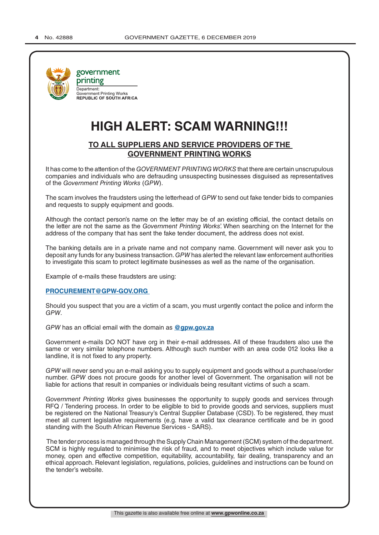

government printing Department:<br>Government Printing Works **REPUBLIC OF SOUTH AFRICA** 

# **HIGH ALERT: SCAM WARNING!!!**

# **TO ALL SUPPLIERS AND SERVICE PROVIDERS OF THE GOVERNMENT PRINTING WORKS**

It has come to the attention of the *GOVERNMENT PRINTING WORKS* that there are certain unscrupulous companies and individuals who are defrauding unsuspecting businesses disguised as representatives of the *Government Printing Works* (*GPW*).

The scam involves the fraudsters using the letterhead of *GPW* to send out fake tender bids to companies and requests to supply equipment and goods.

Although the contact person's name on the letter may be of an existing official, the contact details on the letter are not the same as the *Government Printing Works*'. When searching on the Internet for the address of the company that has sent the fake tender document, the address does not exist.

The banking details are in a private name and not company name. Government will never ask you to deposit any funds for any business transaction. *GPW* has alerted the relevant law enforcement authorities to investigate this scam to protect legitimate businesses as well as the name of the organisation.

Example of e-mails these fraudsters are using:

#### **PROCUREMENT@GPW-GOV.ORG**

Should you suspect that you are a victim of a scam, you must urgently contact the police and inform the *GPW*.

*GPW* has an official email with the domain as **@gpw.gov.za**

Government e-mails DO NOT have org in their e-mail addresses. All of these fraudsters also use the same or very similar telephone numbers. Although such number with an area code 012 looks like a landline, it is not fixed to any property.

*GPW* will never send you an e-mail asking you to supply equipment and goods without a purchase/order number. *GPW* does not procure goods for another level of Government. The organisation will not be liable for actions that result in companies or individuals being resultant victims of such a scam.

*Government Printing Works* gives businesses the opportunity to supply goods and services through RFQ / Tendering process. In order to be eligible to bid to provide goods and services, suppliers must be registered on the National Treasury's Central Supplier Database (CSD). To be registered, they must meet all current legislative requirements (e.g. have a valid tax clearance certificate and be in good standing with the South African Revenue Services - SARS).

 The tender process is managed through the Supply Chain Management (SCM) system of the department. SCM is highly regulated to minimise the risk of fraud, and to meet objectives which include value for money, open and effective competition, equitability, accountability, fair dealing, transparency and an ethical approach. Relevant legislation, regulations, policies, guidelines and instructions can be found on the tender's website.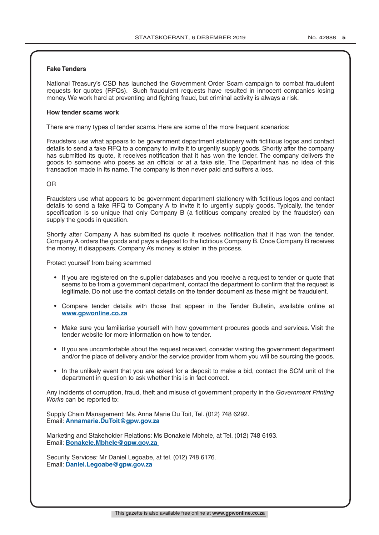#### **Fake Tenders**

National Treasury's CSD has launched the Government Order Scam campaign to combat fraudulent requests for quotes (RFQs). Such fraudulent requests have resulted in innocent companies losing money. We work hard at preventing and fighting fraud, but criminal activity is always a risk.

#### **How tender scams work**

There are many types of tender scams. Here are some of the more frequent scenarios:

Fraudsters use what appears to be government department stationery with fictitious logos and contact details to send a fake RFQ to a company to invite it to urgently supply goods. Shortly after the company has submitted its quote, it receives notification that it has won the tender. The company delivers the goods to someone who poses as an official or at a fake site. The Department has no idea of this transaction made in its name. The company is then never paid and suffers a loss.

#### OR

Fraudsters use what appears to be government department stationery with fictitious logos and contact details to send a fake RFQ to Company A to invite it to urgently supply goods. Typically, the tender specification is so unique that only Company B (a fictitious company created by the fraudster) can supply the goods in question.

Shortly after Company A has submitted its quote it receives notification that it has won the tender. Company A orders the goods and pays a deposit to the fictitious Company B. Once Company B receives the money, it disappears. Company A's money is stolen in the process.

Protect yourself from being scammed

- If you are registered on the supplier databases and you receive a request to tender or quote that seems to be from a government department, contact the department to confirm that the request is legitimate. Do not use the contact details on the tender document as these might be fraudulent.
- Compare tender details with those that appear in the Tender Bulletin, available online at **www.gpwonline.co.za**
- Make sure you familiarise yourself with how government procures goods and services. Visit the tender website for more information on how to tender.
- If you are uncomfortable about the request received, consider visiting the government department and/or the place of delivery and/or the service provider from whom you will be sourcing the goods.
- In the unlikely event that you are asked for a deposit to make a bid, contact the SCM unit of the department in question to ask whether this is in fact correct.

Any incidents of corruption, fraud, theft and misuse of government property in the *Government Printing Works* can be reported to:

Supply Chain Management: Ms. Anna Marie Du Toit, Tel. (012) 748 6292. Email: **Annamarie.DuToit@gpw.gov.za**

Marketing and Stakeholder Relations: Ms Bonakele Mbhele, at Tel. (012) 748 6193. Email: **Bonakele.Mbhele@gpw.gov.za** 

Security Services: Mr Daniel Legoabe, at tel. (012) 748 6176. Email: **Daniel.Legoabe@gpw.gov.za**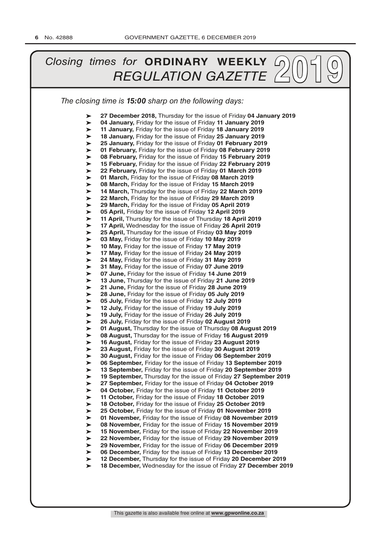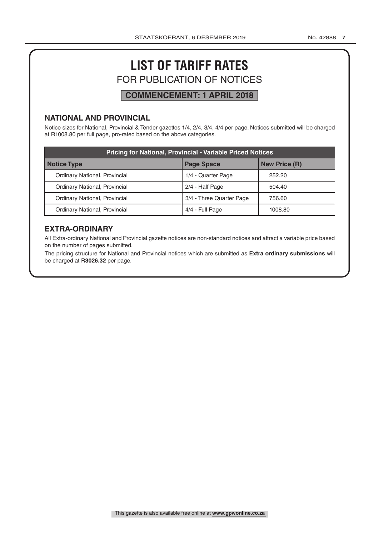# **LIST OF TARIFF RATES** FOR PUBLICATION OF NOTICES

# **COMMENCEMENT: 1 APRIL 2018**

# **NATIONAL AND PROVINCIAL**

Notice sizes for National, Provincial & Tender gazettes 1/4, 2/4, 3/4, 4/4 per page. Notices submitted will be charged at R1008.80 per full page, pro-rated based on the above categories.

| <b>Pricing for National, Provincial - Variable Priced Notices</b> |                          |         |  |  |  |
|-------------------------------------------------------------------|--------------------------|---------|--|--|--|
| Notice Type                                                       | <b>New Price (R)</b>     |         |  |  |  |
| Ordinary National, Provincial                                     | 1/4 - Quarter Page       | 252.20  |  |  |  |
| Ordinary National, Provincial                                     | 2/4 - Half Page          | 504.40  |  |  |  |
| Ordinary National, Provincial                                     | 3/4 - Three Quarter Page | 756.60  |  |  |  |
| Ordinary National, Provincial                                     | 4/4 - Full Page          | 1008.80 |  |  |  |

# **EXTRA-ORDINARY**

All Extra-ordinary National and Provincial gazette notices are non-standard notices and attract a variable price based on the number of pages submitted.

The pricing structure for National and Provincial notices which are submitted as **Extra ordinary submissions** will be charged at R**3026.32** per page.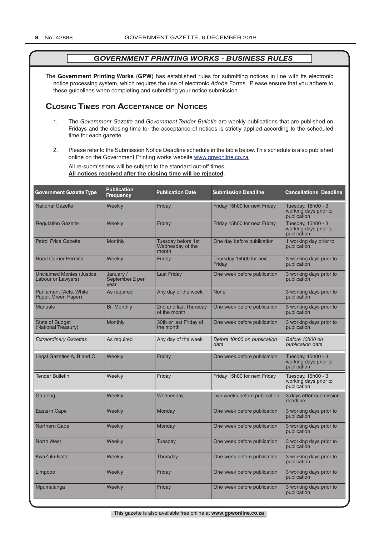The **Government Printing Works** (**GPW**) has established rules for submitting notices in line with its electronic notice processing system, which requires the use of electronic *Adobe* Forms. Please ensure that you adhere to these guidelines when completing and submitting your notice submission.

# **Closing Times for ACCepTAnCe of noTiCes**

- 1. The *Government Gazette* and *Government Tender Bulletin* are weekly publications that are published on Fridays and the closing time for the acceptance of notices is strictly applied according to the scheduled time for each gazette.
- 2. Please refer to the Submission Notice Deadline schedule in the table below. This schedule is also published online on the Government Printing works website www.gpwonline.co.za

All re-submissions will be subject to the standard cut-off times. **All notices received after the closing time will be rejected**.

| <b>Government Gazette Type</b>                   | <b>Publication</b><br><b>Frequency</b> | <b>Publication Date</b>                         | <b>Submission Deadline</b>          | <b>Cancellations Deadline</b>                              |
|--------------------------------------------------|----------------------------------------|-------------------------------------------------|-------------------------------------|------------------------------------------------------------|
| <b>National Gazette</b>                          | Weekly                                 | Friday                                          | Friday 15h00 for next Friday        | Tuesday, 15h00 - 3<br>working days prior to<br>publication |
| <b>Regulation Gazette</b>                        | Weekly                                 | Friday                                          | Friday 15h00 for next Friday        | Tuesday, 15h00 - 3<br>working days prior to<br>publication |
| <b>Petrol Price Gazette</b>                      | <b>Monthly</b>                         | Tuesday before 1st<br>Wednesday of the<br>month | One day before publication          | 1 working day prior to<br>publication                      |
| <b>Road Carrier Permits</b>                      | Weekly                                 | Friday                                          | Thursday 15h00 for next<br>Friday   | 3 working days prior to<br>publication                     |
| Unclaimed Monies (Justice,<br>Labour or Lawyers) | January /<br>September 2 per<br>vear   | <b>Last Friday</b>                              | One week before publication         | 3 working days prior to<br>publication                     |
| Parliament (Acts, White<br>Paper, Green Paper)   | As required                            | Any day of the week                             | <b>None</b>                         | 3 working days prior to<br>publication                     |
| Manuals                                          | <b>Bi- Monthly</b>                     | 2nd and last Thursday<br>of the month           | One week before publication         | 3 working days prior to<br>publication                     |
| <b>State of Budget</b><br>(National Treasury)    | Monthly                                | 30th or last Friday of<br>the month             | One week before publication         | 3 working days prior to<br>publication                     |
| <b>Extraordinary Gazettes</b>                    | As required                            | Any day of the week                             | Before 10h00 on publication<br>date | Before 10h00 on<br>publication date                        |
| Legal Gazettes A, B and C                        | Weekly                                 | Friday                                          | One week before publication         | Tuesday, 15h00 - 3<br>working days prior to<br>publication |
| <b>Tender Bulletin</b>                           | Weekly                                 | Friday                                          | Friday 15h00 for next Friday        | Tuesday, 15h00 - 3<br>working days prior to<br>publication |
| Gauteng                                          | Weekly                                 | Wednesday                                       | Two weeks before publication        | 3 days after submission<br>deadline                        |
| <b>Eastern Cape</b>                              | Weekly                                 | Monday                                          | One week before publication         | 3 working days prior to<br>publication                     |
| <b>Northern Cape</b>                             | Weekly                                 | Monday                                          | One week before publication         | 3 working days prior to<br>publication                     |
| <b>North West</b>                                | Weekly                                 | Tuesday                                         | One week before publication         | 3 working days prior to<br>publication                     |
| <b>KwaZulu-Natal</b>                             | Weekly                                 | Thursday                                        | One week before publication         | 3 working days prior to<br>publication                     |
| Limpopo                                          | Weekly                                 | Friday                                          | One week before publication         | 3 working days prior to<br>publication                     |
| Mpumalanga                                       | Weekly                                 | Friday                                          | One week before publication         | 3 working days prior to<br>publication                     |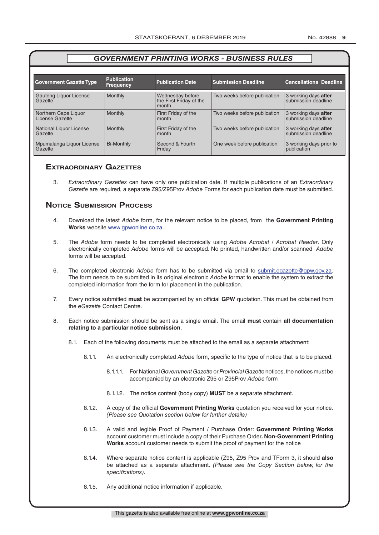One week before publication  $\vert$  3 working days prior to

publication

#### *GOVERNMENT PRINTING WORKS - BUSINESS RULES* **Government Gazette Type Publication Frequency Publication Date Submission Deadline Cancellations Deadline** Gauteng Liquor License **Gazette** Monthly **Wednesday before** the First Friday of the month Two weeks before publication 3 working days after submission deadline Northern Cape Liquor License Gazette Monthly **First Friday of the** month Two weeks before publication 3 working days after submission deadline National Liquor License **Gazette** Monthly **First Friday of the** month Two weeks before publication 3 working days after submission deadline

Bi-Monthly Second & Fourth

**Friday** 

# **exTrAordinAry gAzeTTes**

Mpumalanga Liquor License

Gazette

3. *Extraordinary Gazettes* can have only one publication date. If multiple publications of an *Extraordinary Gazette* are required, a separate Z95/Z95Prov *Adobe* Forms for each publication date must be submitted.

# **NOTICE SUBMISSION PROCESS**

- 4. Download the latest *Adobe* form, for the relevant notice to be placed, from the **Government Printing Works** website www.gpwonline.co.za.
- 5. The *Adobe* form needs to be completed electronically using *Adobe Acrobat* / *Acrobat Reader*. Only electronically completed *Adobe* forms will be accepted. No printed, handwritten and/or scanned *Adobe* forms will be accepted.
- 6. The completed electronic *Adobe* form has to be submitted via email to submit.egazette@gpw.gov.za. The form needs to be submitted in its original electronic *Adobe* format to enable the system to extract the completed information from the form for placement in the publication.
- 7. Every notice submitted **must** be accompanied by an official **GPW** quotation. This must be obtained from the *eGazette* Contact Centre.
- 8. Each notice submission should be sent as a single email. The email **must** contain **all documentation relating to a particular notice submission**.
	- 8.1. Each of the following documents must be attached to the email as a separate attachment:
		- 8.1.1. An electronically completed *Adobe* form, specific to the type of notice that is to be placed.
			- 8.1.1.1. For National *Government Gazette* or *Provincial Gazette* notices, the notices must be accompanied by an electronic Z95 or Z95Prov *Adobe* form
			- 8.1.1.2. The notice content (body copy) **MUST** be a separate attachment.
		- 8.1.2. A copy of the official **Government Printing Works** quotation you received for your notice. *(Please see Quotation section below for further details)*
		- 8.1.3. A valid and legible Proof of Payment / Purchase Order: **Government Printing Works** account customer must include a copy of their Purchase Order*.* **Non**-**Government Printing Works** account customer needs to submit the proof of payment for the notice
		- 8.1.4. Where separate notice content is applicable (Z95, Z95 Prov and TForm 3, it should **also** be attached as a separate attachment. *(Please see the Copy Section below, for the specifications)*.
		- 8.1.5. Any additional notice information if applicable.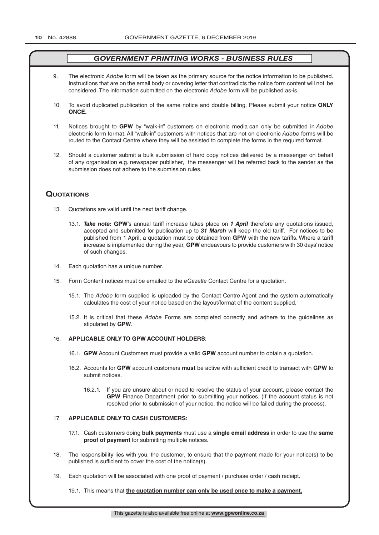- 9. The electronic *Adobe* form will be taken as the primary source for the notice information to be published. Instructions that are on the email body or covering letter that contradicts the notice form content will not be considered. The information submitted on the electronic *Adobe* form will be published as-is.
- 10. To avoid duplicated publication of the same notice and double billing, Please submit your notice **ONLY ONCE.**
- 11. Notices brought to **GPW** by "walk-in" customers on electronic media can only be submitted in *Adobe* electronic form format. All "walk-in" customers with notices that are not on electronic *Adobe* forms will be routed to the Contact Centre where they will be assisted to complete the forms in the required format.
- 12. Should a customer submit a bulk submission of hard copy notices delivered by a messenger on behalf of any organisation e.g. newspaper publisher, the messenger will be referred back to the sender as the submission does not adhere to the submission rules.

# **QuoTATions**

- 13. Quotations are valid until the next tariff change.
	- 13.1. *Take note:* **GPW**'s annual tariff increase takes place on *1 April* therefore any quotations issued, accepted and submitted for publication up to *31 March* will keep the old tariff. For notices to be published from 1 April, a quotation must be obtained from **GPW** with the new tariffs. Where a tariff increase is implemented during the year, **GPW** endeavours to provide customers with 30 days' notice of such changes.
- 14. Each quotation has a unique number.
- 15. Form Content notices must be emailed to the *eGazette* Contact Centre for a quotation.
	- 15.1. The *Adobe* form supplied is uploaded by the Contact Centre Agent and the system automatically calculates the cost of your notice based on the layout/format of the content supplied.
	- 15.2. It is critical that these *Adobe* Forms are completed correctly and adhere to the guidelines as stipulated by **GPW**.

#### 16. **APPLICABLE ONLY TO GPW ACCOUNT HOLDERS**:

- 16.1. **GPW** Account Customers must provide a valid **GPW** account number to obtain a quotation.
- 16.2. Accounts for **GPW** account customers **must** be active with sufficient credit to transact with **GPW** to submit notices.
	- 16.2.1. If you are unsure about or need to resolve the status of your account, please contact the **GPW** Finance Department prior to submitting your notices. (If the account status is not resolved prior to submission of your notice, the notice will be failed during the process).

#### 17. **APPLICABLE ONLY TO CASH CUSTOMERS:**

- 17.1. Cash customers doing **bulk payments** must use a **single email address** in order to use the **same proof of payment** for submitting multiple notices.
- 18. The responsibility lies with you, the customer, to ensure that the payment made for your notice(s) to be published is sufficient to cover the cost of the notice(s).
- 19. Each quotation will be associated with one proof of payment / purchase order / cash receipt.

#### 19.1. This means that **the quotation number can only be used once to make a payment.**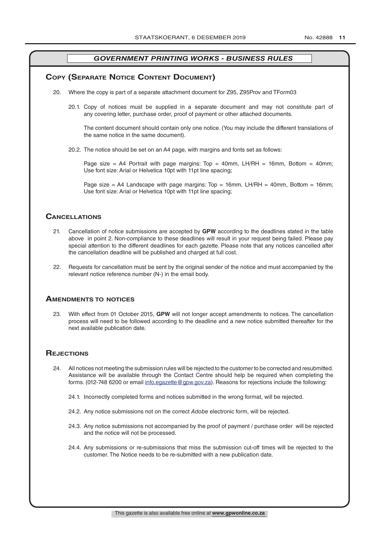# **COPY (SEPARATE NOTICE CONTENT DOCUMENT)**

- 20. Where the copy is part of a separate attachment document for Z95, Z95Prov and TForm03
	- 20.1. Copy of notices must be supplied in a separate document and may not constitute part of any covering letter, purchase order, proof of payment or other attached documents.

The content document should contain only one notice. (You may include the different translations of the same notice in the same document).

20.2. The notice should be set on an A4 page, with margins and fonts set as follows:

Page size = A4 Portrait with page margins: Top = 40mm, LH/RH = 16mm, Bottom = 40mm; Use font size: Arial or Helvetica 10pt with 11pt line spacing;

Page size = A4 Landscape with page margins:  $Top = 16mm$ , LH/RH = 40mm, Bottom = 16mm; Use font size: Arial or Helvetica 10pt with 11pt line spacing;

#### **CAnCellATions**

- 21. Cancellation of notice submissions are accepted by **GPW** according to the deadlines stated in the table above in point 2. Non-compliance to these deadlines will result in your request being failed. Please pay special attention to the different deadlines for each gazette. Please note that any notices cancelled after the cancellation deadline will be published and charged at full cost.
- 22. Requests for cancellation must be sent by the original sender of the notice and must accompanied by the relevant notice reference number (N-) in the email body.

#### **AmendmenTs To noTiCes**

23. With effect from 01 October 2015, **GPW** will not longer accept amendments to notices. The cancellation process will need to be followed according to the deadline and a new notice submitted thereafter for the next available publication date.

## **REJECTIONS**

- 24. All notices not meeting the submission rules will be rejected to the customer to be corrected and resubmitted. Assistance will be available through the Contact Centre should help be required when completing the forms. (012-748 6200 or email info.egazette@gpw.gov.za). Reasons for rejections include the following:
	- 24.1. Incorrectly completed forms and notices submitted in the wrong format, will be rejected.
	- 24.2. Any notice submissions not on the correct *Adobe* electronic form, will be rejected.
	- 24.3. Any notice submissions not accompanied by the proof of payment / purchase order will be rejected and the notice will not be processed.
	- 24.4. Any submissions or re-submissions that miss the submission cut-off times will be rejected to the customer. The Notice needs to be re-submitted with a new publication date.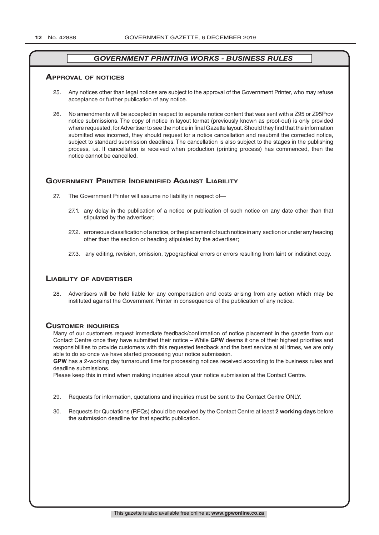#### **ApprovAl of noTiCes**

- 25. Any notices other than legal notices are subject to the approval of the Government Printer, who may refuse acceptance or further publication of any notice.
- 26. No amendments will be accepted in respect to separate notice content that was sent with a Z95 or Z95Prov notice submissions. The copy of notice in layout format (previously known as proof-out) is only provided where requested, for Advertiser to see the notice in final Gazette layout. Should they find that the information submitted was incorrect, they should request for a notice cancellation and resubmit the corrected notice, subject to standard submission deadlines. The cancellation is also subject to the stages in the publishing process, i.e. If cancellation is received when production (printing process) has commenced, then the notice cannot be cancelled.

# **governmenT prinTer indemnified AgAinsT liAbiliTy**

- 27. The Government Printer will assume no liability in respect of—
	- 27.1. any delay in the publication of a notice or publication of such notice on any date other than that stipulated by the advertiser;
	- 27.2. erroneous classification of a notice, or the placement of such notice in any section or under any heading other than the section or heading stipulated by the advertiser;
	- 27.3. any editing, revision, omission, typographical errors or errors resulting from faint or indistinct copy.

#### **liAbiliTy of AdverTiser**

28. Advertisers will be held liable for any compensation and costs arising from any action which may be instituted against the Government Printer in consequence of the publication of any notice.

#### **CusTomer inQuiries**

Many of our customers request immediate feedback/confirmation of notice placement in the gazette from our Contact Centre once they have submitted their notice – While **GPW** deems it one of their highest priorities and responsibilities to provide customers with this requested feedback and the best service at all times, we are only able to do so once we have started processing your notice submission.

**GPW** has a 2-working day turnaround time for processing notices received according to the business rules and deadline submissions.

Please keep this in mind when making inquiries about your notice submission at the Contact Centre.

- 29. Requests for information, quotations and inquiries must be sent to the Contact Centre ONLY.
- 30. Requests for Quotations (RFQs) should be received by the Contact Centre at least **2 working days** before the submission deadline for that specific publication.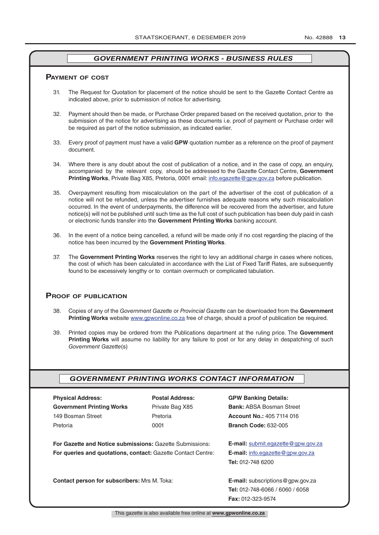#### **pAymenT of CosT**

- 31. The Request for Quotation for placement of the notice should be sent to the Gazette Contact Centre as indicated above, prior to submission of notice for advertising.
- 32. Payment should then be made, or Purchase Order prepared based on the received quotation, prior to the submission of the notice for advertising as these documents i.e. proof of payment or Purchase order will be required as part of the notice submission, as indicated earlier.
- 33. Every proof of payment must have a valid **GPW** quotation number as a reference on the proof of payment document.
- 34. Where there is any doubt about the cost of publication of a notice, and in the case of copy, an enquiry, accompanied by the relevant copy, should be addressed to the Gazette Contact Centre, **Government Printing Works**, Private Bag X85, Pretoria, 0001 email: info.egazette@gpw.gov.za before publication.
- 35. Overpayment resulting from miscalculation on the part of the advertiser of the cost of publication of a notice will not be refunded, unless the advertiser furnishes adequate reasons why such miscalculation occurred. In the event of underpayments, the difference will be recovered from the advertiser, and future notice(s) will not be published until such time as the full cost of such publication has been duly paid in cash or electronic funds transfer into the **Government Printing Works** banking account.
- 36. In the event of a notice being cancelled, a refund will be made only if no cost regarding the placing of the notice has been incurred by the **Government Printing Works**.
- 37. The **Government Printing Works** reserves the right to levy an additional charge in cases where notices, the cost of which has been calculated in accordance with the List of Fixed Tariff Rates, are subsequently found to be excessively lengthy or to contain overmuch or complicated tabulation.

#### **proof of publiCATion**

- 38. Copies of any of the *Government Gazette* or *Provincial Gazette* can be downloaded from the **Government Printing Works** website www.gpwonline.co.za free of charge, should a proof of publication be required.
- 39. Printed copies may be ordered from the Publications department at the ruling price. The **Government Printing Works** will assume no liability for any failure to post or for any delay in despatching of such *Government Gazette*(s)

#### *GOVERNMENT PRINTING WORKS CONTACT INFORMATION*

| <b>Physical Address:</b>                                            | <b>Postal Address:</b> | <b>GPW Banking Details:</b>                 |
|---------------------------------------------------------------------|------------------------|---------------------------------------------|
| <b>Government Printing Works</b>                                    | Private Bag X85        | <b>Bank: ABSA Bosman Street</b>             |
| 149 Bosman Street                                                   | Pretoria               | <b>Account No.: 405 7114 016</b>            |
| Pretoria                                                            | 0001                   | <b>Branch Code: 632-005</b>                 |
|                                                                     |                        |                                             |
| For Gazette and Notice submissions: Gazette Submissions:            |                        | <b>E-mail:</b> submit.egazette@gpw.gov.za   |
| <b>For queries and quotations, contact: Gazette Contact Centre:</b> |                        | <b>E-mail:</b> info.egazette@gpw.gov.za     |
|                                                                     |                        | Tel: 012-748 6200                           |
|                                                                     |                        |                                             |
| <b>Contact person for subscribers: Mrs M. Toka:</b>                 |                        | <b>E-mail:</b> subscriptions $@$ gpw.gov.za |
|                                                                     |                        | <b>Tel: 012-748-6066 / 6060 / 6058</b>      |
|                                                                     |                        | <b>Fax: 012-323-9574</b>                    |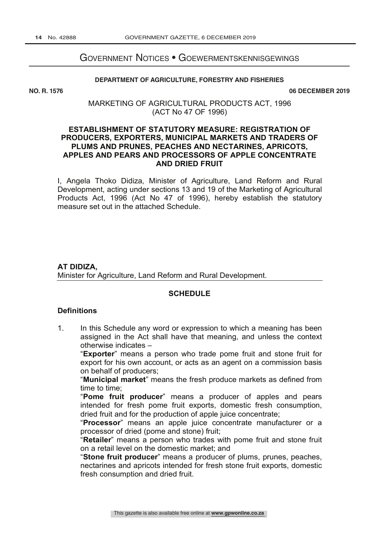# GOVERNMENT NOTICES • GOEWERMENTSKENNISGEWINGS

# **DEPARTMENT OF AGRICULTURE, FORESTRY AND FISHERIES DEVELOPMENT**

NO. R. 1576

**06 DECEMBER 2019** 

MARKETING OF AGRICULTURAL PRODUCTS ACT, 1996 (ACT No 47 OF 1996)

# **ESTABLISHMENT OF STATUTORY MEASURE: REGISTRATION OF PRODUCERS, EXPORTERS, MUNICIPAL MARKETS AND TRADERS OF PLUMS AND PRUNES, PEACHES AND NECTARINES, APRICOTS, APPLES AND PEARS AND PROCESSORS OF APPLE CONCENTRATE AND DRIED FRUIT**

I, Angela Thoko Didiza, Minister of Agriculture, Land Reform and Rural Development, acting under sections 13 and 19 of the Marketing of Agricultural Products Act, 1996 (Act No 47 of 1996), hereby establish the statutory measure set out in the attached Schedule.

# **AT DIDIZA,** Minister for Agriculture, Land Reform and Rural Development.

# **SCHEDULE**

# **Definitions**

1. In this Schedule any word or expression to which a meaning has been assigned in the Act shall have that meaning, and unless the context otherwise indicates –

"**Exporter**" means a person who trade pome fruit and stone fruit for export for his own account, or acts as an agent on a commission basis on behalf of producers;

"**Municipal market**" means the fresh produce markets as defined from time to time;

"**Pome fruit producer**" means a producer of apples and pears intended for fresh pome fruit exports, domestic fresh consumption, dried fruit and for the production of apple juice concentrate;

"**Processor**" means an apple juice concentrate manufacturer or a processor of dried (pome and stone) fruit;

"**Retailer**" means a person who trades with pome fruit and stone fruit on a retail level on the domestic market; and

"**Stone fruit producer**" means a producer of plums, prunes, peaches, nectarines and apricots intended for fresh stone fruit exports, domestic fresh consumption and dried fruit.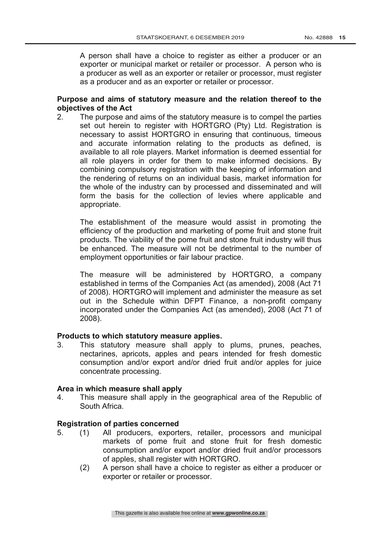A person shall have a choice to register as either a producer or an exporter or municipal market or retailer or processor. A person who is a producer as well as an exporter or retailer or processor, must register as a producer and as an exporter or retailer or processor.

# **Purpose and aims of statutory measure and the relation thereof to the objectives of the Act**

2. The purpose and aims of the statutory measure is to compel the parties set out herein to register with HORTGRO (Pty) Ltd. Registration is necessary to assist HORTGRO in ensuring that continuous, timeous and accurate information relating to the products as defined, is available to all role players. Market information is deemed essential for all role players in order for them to make informed decisions. By combining compulsory registration with the keeping of information and the rendering of returns on an individual basis, market information for the whole of the industry can by processed and disseminated and will form the basis for the collection of levies where applicable and appropriate.

The establishment of the measure would assist in promoting the efficiency of the production and marketing of pome fruit and stone fruit products. The viability of the pome fruit and stone fruit industry will thus be enhanced. The measure will not be detrimental to the number of employment opportunities or fair labour practice.

The measure will be administered by HORTGRO, a company established in terms of the Companies Act (as amended), 2008 (Act 71 of 2008). HORTGRO will implement and administer the measure as set out in the Schedule within DFPT Finance, a non-profit company incorporated under the Companies Act (as amended), 2008 (Act 71 of 2008).

# **Products to which statutory measure applies.**<br>3. This statutory measure shall apply to

This statutory measure shall apply to plums, prunes, peaches, nectarines, apricots, apples and pears intended for fresh domestic consumption and/or export and/or dried fruit and/or apples for juice concentrate processing.

# **Area in which measure shall apply**

4. This measure shall apply in the geographical area of the Republic of South Africa.

# **Registration of parties concerned**

- 5. (1) All producers, exporters, retailer, processors and municipal markets of pome fruit and stone fruit for fresh domestic consumption and/or export and/or dried fruit and/or processors of apples, shall register with HORTGRO.
	- (2) A person shall have a choice to register as either a producer or exporter or retailer or processor.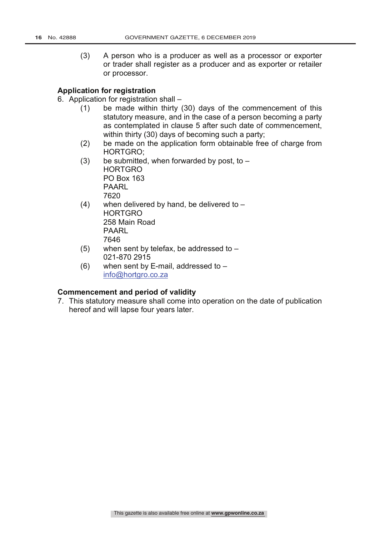(3) A person who is a producer as well as a processor or exporter or trader shall register as a producer and as exporter or retailer or processor.

# **Application for registration**

6. Application for registration shall –

- (1) be made within thirty (30) days of the commencement of this statutory measure, and in the case of a person becoming a party as contemplated in clause 5 after such date of commencement, within thirty (30) days of becoming such a party;
- (2) be made on the application form obtainable free of charge from HORTGRO;
- (3) be submitted, when forwarded by post, to  $-$ HORTGRO PO Box 163 PAARL 7620
- $(4)$  when delivered by hand, be delivered to HORTGRO 258 Main Road PAARL 7646
- (5) when sent by telefax, be addressed to 021-870 2915
- $(6)$  when sent by E-mail, addressed to  $$ info@hortgro.co.za

# **Commencement and period of validity**

7. This statutory measure shall come into operation on the date of publication hereof and will lapse four years later.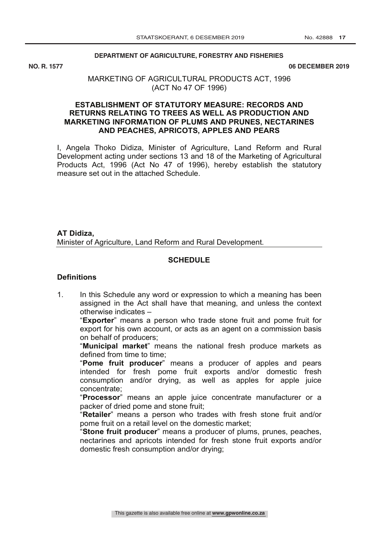#### **DEPARTMENT OF AGRICULTURE, FORESTRY AND FISHERIES**

NO. R. 1577

**NO. R. 1577 06 DECEMBER 2019**

# MARKETING OF AGRICULTURAL PRODUCTS ACT, 1996 (ACT No 47 OF 1996)

# **ESTABLISHMENT OF STATUTORY MEASURE: RECORDS AND RETURNS RELATING TO TREES AS WELL AS PRODUCTION AND MARKETING INFORMATION OF PLUMS AND PRUNES, NECTARINES AND PEACHES, APRICOTS, APPLES AND PEARS**

I, Angela Thoko Didiza, Minister of Agriculture, Land Reform and Rural Development acting under sections 13 and 18 of the Marketing of Agricultural Products Act, 1996 (Act No 47 of 1996), hereby establish the statutory measure set out in the attached Schedule.

**AT Didiza,** Minister of Agriculture, Land Reform and Rural Development.

# **SCHEDULE**

## **Definitions**

1. In this Schedule any word or expression to which a meaning has been assigned in the Act shall have that meaning, and unless the context otherwise indicates –

"**Exporter**" means a person who trade stone fruit and pome fruit for export for his own account, or acts as an agent on a commission basis on behalf of producers;

"**Municipal market**" means the national fresh produce markets as defined from time to time;

"**Pome fruit producer**" means a producer of apples and pears intended for fresh pome fruit exports and/or domestic fresh consumption and/or drying, as well as apples for apple juice concentrate;

"**Processor**" means an apple juice concentrate manufacturer or a packer of dried pome and stone fruit;

"**Retailer**" means a person who trades with fresh stone fruit and/or pome fruit on a retail level on the domestic market;

"**Stone fruit producer**" means a producer of plums, prunes, peaches, nectarines and apricots intended for fresh stone fruit exports and/or domestic fresh consumption and/or drying;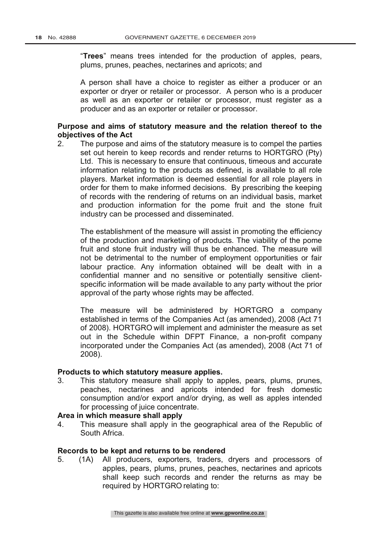"**Trees**" means trees intended for the production of apples, pears, plums, prunes, peaches, nectarines and apricots; and

A person shall have a choice to register as either a producer or an exporter or dryer or retailer or processor. A person who is a producer as well as an exporter or retailer or processor, must register as a producer and as an exporter or retailer or processor.

# **Purpose and aims of statutory measure and the relation thereof to the objectives of the Act**

2. The purpose and aims of the statutory measure is to compel the parties set out herein to keep records and render returns to HORTGRO (Pty) Ltd. This is necessary to ensure that continuous, timeous and accurate information relating to the products as defined, is available to all role players. Market information is deemed essential for all role players in order for them to make informed decisions. By prescribing the keeping of records with the rendering of returns on an individual basis, market and production information for the pome fruit and the stone fruit industry can be processed and disseminated.

The establishment of the measure will assist in promoting the efficiency of the production and marketing of products. The viability of the pome fruit and stone fruit industry will thus be enhanced. The measure will not be detrimental to the number of employment opportunities or fair labour practice. Any information obtained will be dealt with in a confidential manner and no sensitive or potentially sensitive clientspecific information will be made available to any party without the prior approval of the party whose rights may be affected.

The measure will be administered by HORTGRO a company established in terms of the Companies Act (as amended), 2008 (Act 71 of 2008). HORTGRO will implement and administer the measure as set out in the Schedule within DFPT Finance, a non-profit company incorporated under the Companies Act (as amended), 2008 (Act 71 of 2008).

# **Products to which statutory measure applies.**

3. This statutory measure shall apply to apples, pears, plums, prunes, peaches, nectarines and apricots intended for fresh domestic consumption and/or export and/or drying, as well as apples intended for processing of juice concentrate.

# **Area in which measure shall apply**

4. This measure shall apply in the geographical area of the Republic of South Africa.

# **Records to be kept and returns to be rendered**

5. (1A) All producers, exporters, traders, dryers and processors of apples, pears, plums, prunes, peaches, nectarines and apricots shall keep such records and render the returns as may be required by HORTGRO relating to: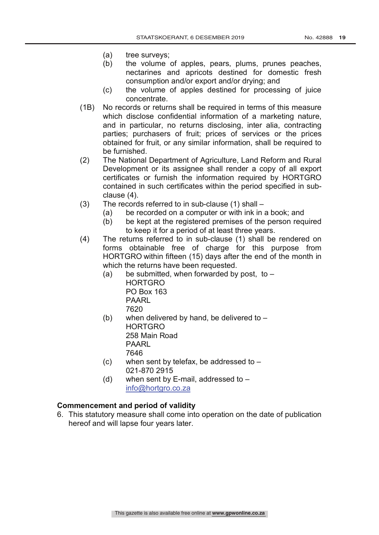- (a) tree surveys;
- (b) the volume of apples, pears, plums, prunes peaches, nectarines and apricots destined for domestic fresh consumption and/or export and/or drying; and
- (c) the volume of apples destined for processing of juice concentrate.
- (1B) No records or returns shall be required in terms of this measure which disclose confidential information of a marketing nature, and in particular, no returns disclosing, inter alia, contracting parties; purchasers of fruit; prices of services or the prices obtained for fruit, or any similar information, shall be required to be furnished.
- (2) The National Department of Agriculture, Land Reform and Rural Development or its assignee shall render a copy of all export certificates or furnish the information required by HORTGRO contained in such certificates within the period specified in subclause (4).
- (3) The records referred to in sub-clause (1) shall
	- (a) be recorded on a computer or with ink in a book; and
	- (b) be kept at the registered premises of the person required to keep it for a period of at least three years.
- (4) The returns referred to in sub-clause (1) shall be rendered on forms obtainable free of charge for this purpose from HORTGRO within fifteen (15) days after the end of the month in which the returns have been requested.
	- (a) be submitted, when forwarded by post, to  $-$ HORTGRO PO Box 163 PAARL 7620
	- (b) when delivered by hand, be delivered to  $-$ **HORTGRO** 258 Main Road PAARL 7646
	- (c) when sent by telefax, be addressed to  $-$ 021-870 2915
	- (d) when sent by  $E$ -mail, addressed to  $$ info@hortgro.co.za

# **Commencement and period of validity**

6. This statutory measure shall come into operation on the date of publication hereof and will lapse four years later.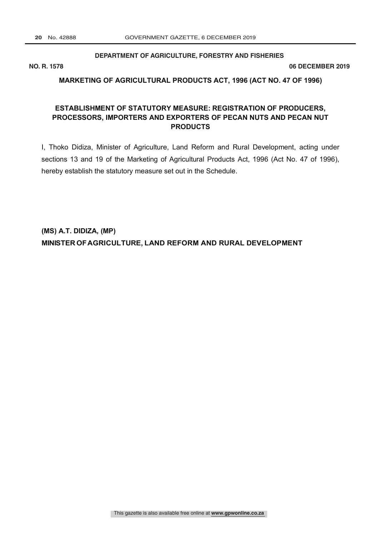### **DEPARTMENT OF AGRICULTURE, FORESTRY AND FISHERIES**

**NO. R. 1578 06 DECEMBER 2019**

# **MARKETING OF AGRICULTURAL PRODUCTS ACT, 1996 (ACT NO. 47 OF 1996)**

# **ESTABLISHMENT OF STATUTORY MEASURE: REGISTRATION OF PRODUCERS, PROCESSORS, IMPORTERS AND EXPORTERS OF PECAN NUTS AND PECAN NUT PRODUCTS**

I, Thoko Didiza, Minister of Agriculture, Land Reform and Rural Development, acting under sections 13 and 19 of the Marketing of Agricultural Products Act, 1996 (Act No. 47 of 1996), hereby establish the statutory measure set out in the Schedule.

**(MS) A.T. DIDIZA, (MP) MINISTER OFAGRICULTURE, LAND REFORM AND RURAL DEVELOPMENT**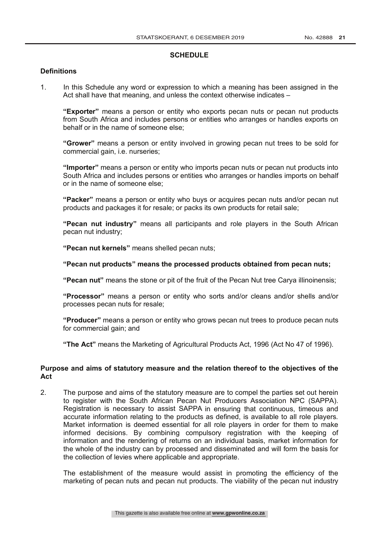#### **SCHEDULE**

# **Definitions**

1. In this Schedule any word or expression to which a meaning has been assigned in the Act shall have that meaning, and unless the context otherwise indicates –

**"Exporter"** means a person or entity who exports pecan nuts or pecan nut products from South Africa and includes persons or entities who arranges or handles exports on behalf or in the name of someone else;

**"Grower"** means a person or entity involved in growing pecan nut trees to be sold for commercial gain, i.e. nurseries;

**"Importer"** means a person or entity who imports pecan nuts or pecan nut products into South Africa and includes persons or entities who arranges or handles imports on behalf or in the name of someone else;

**"Packer"** means a person or entity who buys or acquires pecan nuts and/or pecan nut products and packages it for resale; or packs its own products for retail sale;

**"Pecan nut industry"** means all participants and role players in the South African pecan nut industry;

**"Pecan nut kernels"** means shelled pecan nuts;

# **"Pecan nut products" means the processed products obtained from pecan nuts;**

**"Pecan nut"** means the stone or pit of the fruit of the Pecan Nut tree Carya illinoinensis;

**"Processor"** means a person or entity who sorts and/or cleans and/or shells and/or processes pecan nuts for resale;

**"Producer"** means a person or entity who grows pecan nut trees to produce pecan nuts for commercial gain; and

**"The Act"** means the Marketing of Agricultural Products Act, 1996 (Act No 47 of 1996).

# **Purpose and aims of statutory measure and the relation thereof to the objectives of the Act**

2. The purpose and aims of the statutory measure are to compel the parties set out herein to register with the South African Pecan Nut Producers Association NPC (SAPPA). Registration is necessary to assist SAPPA in ensuring that continuous, timeous and accurate information relating to the products as defined, is available to all role players. Market information is deemed essential for all role players in order for them to make informed decisions. By combining compulsory registration with the keeping of information and the rendering of returns on an individual basis, market information for the whole of the industry can by processed and disseminated and will form the basis for the collection of levies where applicable and appropriate.

The establishment of the measure would assist in promoting the efficiency of the marketing of pecan nuts and pecan nut products. The viability of the pecan nut industry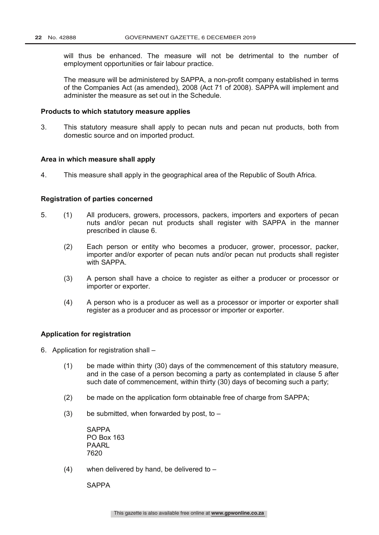will thus be enhanced. The measure will not be detrimental to the number of employment opportunities or fair labour practice.

The measure will be administered by SAPPA, a non-profit company established in terms of the Companies Act (as amended), 2008 (Act 71 of 2008). SAPPA will implement and administer the measure as set out in the Schedule.

#### **Products to which statutory measure applies**

3. This statutory measure shall apply to pecan nuts and pecan nut products, both from domestic source and on imported product.

#### **Area in which measure shall apply**

4. This measure shall apply in the geographical area of the Republic of South Africa.

#### **Registration of parties concerned**

- 5. (1) All producers, growers, processors, packers, importers and exporters of pecan nuts and/or pecan nut products shall register with SAPPA in the manner prescribed in clause 6.
	- (2) Each person or entity who becomes a producer, grower, processor, packer, importer and/or exporter of pecan nuts and/or pecan nut products shall register with SAPPA.
	- (3) A person shall have a choice to register as either a producer or processor or importer or exporter.
	- (4) A person who is a producer as well as a processor or importer or exporter shall register as a producer and as processor or importer or exporter.

#### **Application for registration**

- 6. Application for registration shall
	- (1) be made within thirty (30) days of the commencement of this statutory measure, and in the case of a person becoming a party as contemplated in clause 5 after such date of commencement, within thirty (30) days of becoming such a party;
	- (2) be made on the application form obtainable free of charge from SAPPA;
	- (3) be submitted, when forwarded by post, to  $-$

SAPPA PO Box 163 PAARL 7620

(4) when delivered by hand, be delivered to –

**SAPPA**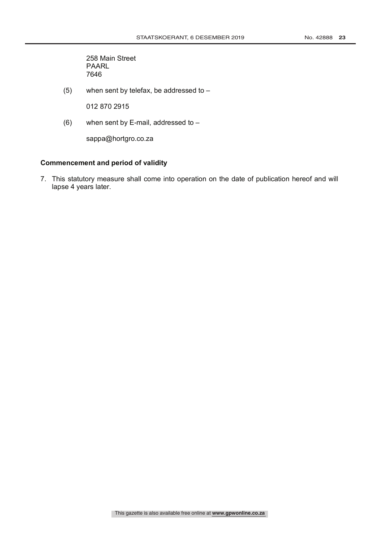258 Main Street PAARL 7646

(5) when sent by telefax, be addressed to  $-$ 

012 870 2915

(6) when sent by E-mail, addressed to –

sappa@hortgro.co.za

# **Commencement and period of validity**

7. This statutory measure shall come into operation on the date of publication hereof and will lapse 4 years later.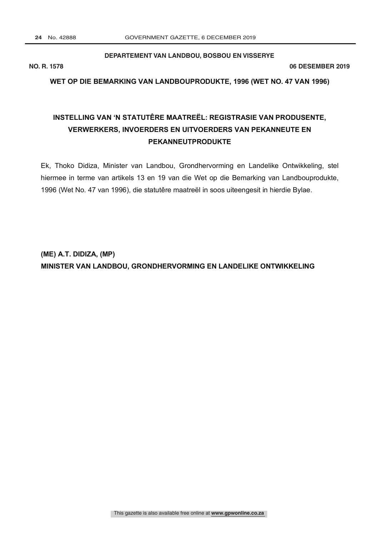### **DEPARTEMENT VAN LANDBOU, BOSBOU EN VISSERYE**

**R.**

**NO. R. 1578 06 DESEMBER 2019**

## **WET OP DIE BEMARKING VAN LANDBOUPRODUKTE, 1996 (WET NO. 47 VAN 1996)**

# **INSTELLING VAN 'N STATUTÊRE MAATREËL: REGISTRASIE VAN PRODUSENTE, VERWERKERS, INVOERDERS EN UITVOERDERS VAN PEKANNEUTE EN PEKANNEUTPRODUKTE**

Ek, Thoko Didiza, Minister van Landbou, Grondhervorming en Landelike Ontwikkeling, stel hiermee in terme van artikels 13 en 19 van die Wet op die Bemarking van Landbouprodukte, 1996 (Wet No. 47 van 1996), die statutêre maatreël in soos uiteengesit in hierdie Bylae.

**(ME) A.T. DIDIZA, (MP) MINISTER VAN LANDBOU, GRONDHERVORMING EN LANDELIKE ONTWIKKELING**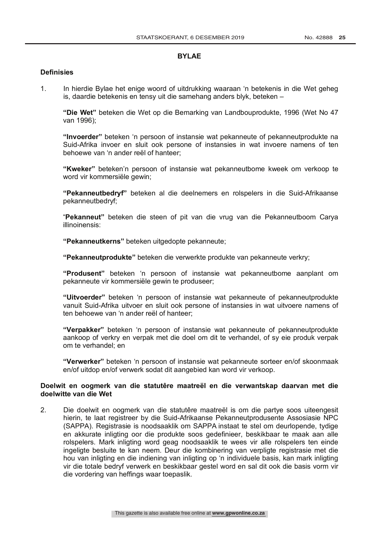# **BYLAE**

#### **Definisies**

1. In hierdie Bylae het enige woord of uitdrukking waaraan 'n betekenis in die Wet geheg is, daardie betekenis en tensy uit die samehang anders blyk, beteken –

**"Die Wet"** beteken die Wet op die Bemarking van Landbouprodukte, 1996 (Wet No 47 van 1996);

**"Invoerder"** beteken 'n persoon of instansie wat pekanneute of pekanneutprodukte na Suid-Afrika invoer en sluit ook persone of instansies in wat invoere namens of ten behoewe van 'n ander reël of hanteer;

**"Kweker"** beteken'n persoon of instansie wat pekanneutbome kweek om verkoop te word vir kommersiële gewin;

**"Pekanneutbedryf"** beteken al die deelnemers en rolspelers in die Suid-Afrikaanse pekanneutbedryf;

"**Pekanneut"** beteken die steen of pit van die vrug van die Pekanneutboom Carya illinoinensis:

**"Pekanneutkerns"** beteken uitgedopte pekanneute;

**"Pekanneutprodukte"** beteken die verwerkte produkte van pekanneute verkry;

**"Produsent"** beteken 'n persoon of instansie wat pekanneutbome aanplant om pekanneute vir kommersiële gewin te produseer;

**"Uitvoerder"** beteken 'n persoon of instansie wat pekanneute of pekanneutprodukte vanuit Suid-Afrika uitvoer en sluit ook persone of instansies in wat uitvoere namens of ten behoewe van 'n ander reël of hanteer;

**"Verpakker"** beteken 'n persoon of instansie wat pekanneute of pekanneutprodukte aankoop of verkry en verpak met die doel om dit te verhandel, of sy eie produk verpak om te verhandel; en

**"Verwerker"** beteken 'n persoon of instansie wat pekanneute sorteer en/of skoonmaak en/of uitdop en/of verwerk sodat dit aangebied kan word vir verkoop.

## **Doelwit en oogmerk van die statutêre maatreël en die verwantskap daarvan met die doelwitte van die Wet**

2. Die doelwit en oogmerk van die statutêre maatreël is om die partye soos uiteengesit hierin, te laat registreer by die Suid-Afrikaanse Pekanneutprodusente Assosiasie NPC (SAPPA). Registrasie is noodsaaklik om SAPPA instaat te stel om deurlopende, tydige en akkurate inligting oor die produkte soos gedefinieer, beskikbaar te maak aan alle rolspelers. Mark inligting word geag noodsaaklik te wees vir alle rolspelers ten einde ingeligte besluite te kan neem. Deur die kombinering van verpligte registrasie met die hou van inligting en die indiening van inligting op 'n individuele basis, kan mark inligting vir die totale bedryf verwerk en beskikbaar gestel word en sal dit ook die basis vorm vir die vordering van heffings waar toepaslik.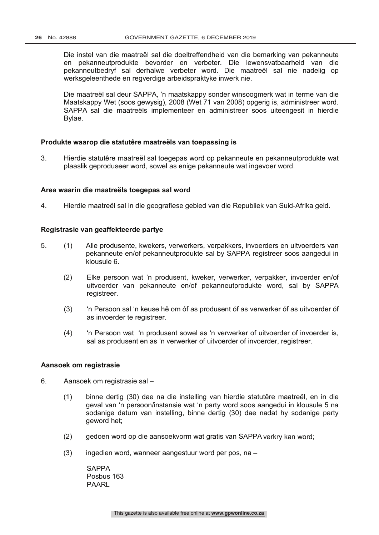Die instel van die maatreël sal die doeltreffendheid van die bemarking van pekanneute en pekanneutprodukte bevorder en verbeter. Die lewensvatbaarheid van die pekanneutbedryf sal derhalwe verbeter word. Die maatreël sal nie nadelig op werksgeleenthede en regverdige arbeidspraktyke inwerk nie.

Die maatreël sal deur SAPPA, 'n maatskappy sonder winsoogmerk wat in terme van die Maatskappy Wet (soos gewysig), 2008 (Wet 71 van 2008) opgerig is, administreer word. SAPPA sal die maatreëls implementeer en administreer soos uiteengesit in hierdie Bylae.

#### **Produkte waarop die statutêre maatreëls van toepassing is**

3. Hierdie statutêre maatreël sal toegepas word op pekanneute en pekanneutprodukte wat plaaslik geproduseer word, sowel as enige pekanneute wat ingevoer word.

#### **Area waarin die maatreëls toegepas sal word**

4. Hierdie maatreël sal in die geografiese gebied van die Republiek van Suid-Afrika geld.

#### **Registrasie van geaffekteerde partye**

- 5. (1) Alle produsente, kwekers, verwerkers, verpakkers, invoerders en uitvoerders van pekanneute en/of pekanneutprodukte sal by SAPPA registreer soos aangedui in klousule 6.
	- (2) Elke persoon wat 'n produsent, kweker, verwerker, verpakker, invoerder en/of uitvoerder van pekanneute en/of pekanneutprodukte word, sal by SAPPA registreer.
	- (3) 'n Persoon sal 'n keuse hê om óf as produsent óf as verwerker óf as uitvoerder óf as invoerder te registreer.
	- (4) 'n Persoon wat 'n produsent sowel as 'n verwerker of uitvoerder of invoerder is, sal as produsent en as 'n verwerker of uitvoerder of invoerder, registreer.

#### **Aansoek om registrasie**

- 6. Aansoek om registrasie sal
	- (1) binne dertig (30) dae na die instelling van hierdie statutêre maatreël, en in die geval van 'n persoon/instansie wat 'n party word soos aangedui in klousule 5 na sodanige datum van instelling, binne dertig (30) dae nadat hy sodanige party geword het;
	- (2) gedoen word op die aansoekvorm wat gratis van SAPPA verkry kan word;
	- $(3)$  ingedien word, wanneer aangestuur word per pos, na –

SAPPA Posbus 163 PAARL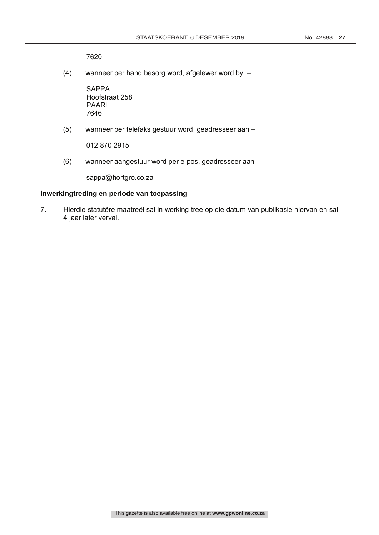7620

(4) wanneer per hand besorg word, afgelewer word by –

SAPPA Hoofstraat 258 PAARL 7646

(5) wanneer per telefaks gestuur word, geadresseer aan –

012 870 2915

(6) wanneer aangestuur word per e-pos, geadresseer aan –

sappa@hortgro.co.za

# **Inwerkingtreding en periode van toepassing**

7. Hierdie statutêre maatreël sal in werking tree op die datum van publikasie hiervan en sal 4 jaar later verval.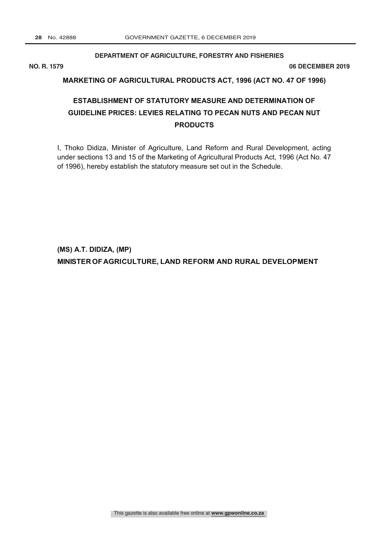## **DEPARTMENT OF AGRICULTURE, FORESTRY AND FISHERIES**

**NO. R. 1579 06 DECEMBER 2019**

# **MARKETING OF AGRICULTURAL PRODUCTS ACT, 1996 (ACT NO. 47 OF 1996)**

# **ESTABLISHMENT OF STATUTORY MEASURE AND DETERMINATION OF GUIDELINE PRICES: LEVIES RELATING TO PECAN NUTS AND PECAN NUT PRODUCTS**

I, Thoko Didiza, Minister of Agriculture, Land Reform and Rural Development, acting under sections 13 and 15 of the Marketing of Agricultural Products Act, 1996 (Act No. 47 of 1996), hereby establish the statutory measure set out in the Schedule.

**(MS) A.T. DIDIZA, (MP) MINISTER OFAGRICULTURE, LAND REFORM AND RURAL DEVELOPMENT**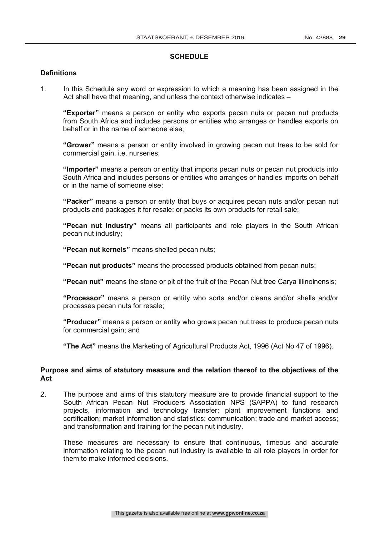## **SCHEDULE**

# **Definitions**

1. In this Schedule any word or expression to which a meaning has been assigned in the Act shall have that meaning, and unless the context otherwise indicates –

**"Exporter"** means a person or entity who exports pecan nuts or pecan nut products from South Africa and includes persons or entities who arranges or handles exports on behalf or in the name of someone else;

**"Grower"** means a person or entity involved in growing pecan nut trees to be sold for commercial gain, i.e. nurseries;

**"Importer"** means a person or entity that imports pecan nuts or pecan nut products into South Africa and includes persons or entities who arranges or handles imports on behalf or in the name of someone else;

**"Packer"** means a person or entity that buys or acquires pecan nuts and/or pecan nut products and packages it for resale; or packs its own products for retail sale;

**"Pecan nut industry"** means all participants and role players in the South African pecan nut industry;

**"Pecan nut kernels"** means shelled pecan nuts;

**"Pecan nut products"** means the processed products obtained from pecan nuts;

**"Pecan nut"** means the stone or pit of the fruit of the Pecan Nut tree Carya illinoinensis;

**"Processor"** means a person or entity who sorts and/or cleans and/or shells and/or processes pecan nuts for resale;

**"Producer"** means a person or entity who grows pecan nut trees to produce pecan nuts for commercial gain; and

**"The Act"** means the Marketing of Agricultural Products Act, 1996 (Act No 47 of 1996).

### **Purpose and aims of statutory measure and the relation thereof to the objectives of the Act**

2. The purpose and aims of this statutory measure are to provide financial support to the South African Pecan Nut Producers Association NPS (SAPPA) to fund research projects, information and technology transfer; plant improvement functions and certification; market information and statistics; communication; trade and market access; and transformation and training for the pecan nut industry.

These measures are necessary to ensure that continuous, timeous and accurate information relating to the pecan nut industry is available to all role players in order for them to make informed decisions.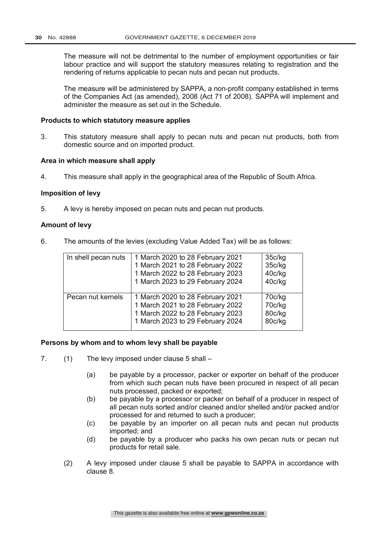The measure will not be detrimental to the number of employment opportunities or fair labour practice and will support the statutory measures relating to registration and the rendering of returns applicable to pecan nuts and pecan nut products.

The measure will be administered by SAPPA, a non-profit company established in terms of the Companies Act (as amended), 2008 (Act 71 of 2008). SAPPA will implement and administer the measure as set out in the Schedule.

#### **Products to which statutory measure applies**

3. This statutory measure shall apply to pecan nuts and pecan nut products, both from domestic source and on imported product.

#### **Area in which measure shall apply**

4. This measure shall apply in the geographical area of the Republic of South Africa.

#### **Imposition of levy**

5. A levy is hereby imposed on pecan nuts and pecan nut products.

# **Amount of levy**

6. The amounts of the levies (excluding Value Added Tax) will be as follows:

| In shell pecan nuts | 1 March 2020 to 28 February 2021<br>1 March 2021 to 28 February 2022<br>1 March 2022 to 28 February 2023<br>1 March 2023 to 29 February 2024 | 35c/kg<br>35c/kg<br>40c/kg<br>40c/kg |
|---------------------|----------------------------------------------------------------------------------------------------------------------------------------------|--------------------------------------|
| Pecan nut kernels   | 1 March 2020 to 28 February 2021<br>1 March 2021 to 28 February 2022<br>1 March 2022 to 28 February 2023<br>1 March 2023 to 29 February 2024 | 70c/kg<br>70c/kg<br>80c/kg<br>80c/kg |

#### **Persons by whom and to whom levy shall be payable**

- 7. (1) The levy imposed under clause 5 shall
	- (a) be payable by a processor, packer or exporter on behalf of the producer from which such pecan nuts have been procured in respect of all pecan nuts processed, packed or exported;
	- (b) be payable by a processor or packer on behalf of a producer in respect of all pecan nuts sorted and/or cleaned and/or shelled and/or packed and/or processed for and returned to such a producer;
	- (c) be payable by an importer on all pecan nuts and pecan nut products imported; and
	- (d) be payable by a producer who packs his own pecan nuts or pecan nut products for retail sale.
	- (2) A levy imposed under clause 5 shall be payable to SAPPA in accordance with clause 8.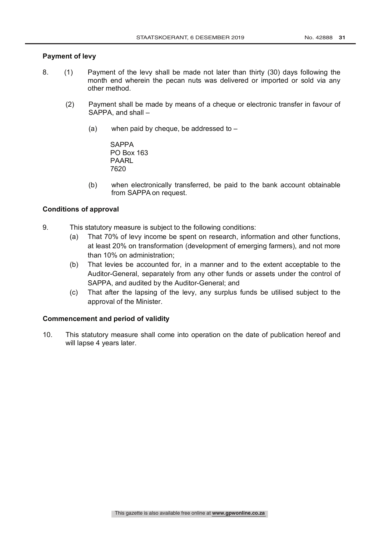# **Payment of levy**

- 8. (1) Payment of the levy shall be made not later than thirty (30) days following the month end wherein the pecan nuts was delivered or imported or sold via any other method.
	- (2) Payment shall be made by means of a cheque or electronic transfer in favour of SAPPA, and shall –
		- (a) when paid by cheque, be addressed to  $-$

**SAPPA** PO Box 163 PAARL 7620

(b) when electronically transferred, be paid to the bank account obtainable from SAPPA on request.

# **Conditions of approval**

- 9. This statutory measure is subject to the following conditions:
	- (a) That 70% of levy income be spent on research, information and other functions, at least 20% on transformation (development of emerging farmers), and not more than 10% on administration;
	- (b) That levies be accounted for, in a manner and to the extent acceptable to the Auditor-General, separately from any other funds or assets under the control of SAPPA, and audited by the Auditor-General; and
	- (c) That after the lapsing of the levy, any surplus funds be utilised subject to the approval of the Minister.

# **Commencement and period of validity**

10. This statutory measure shall come into operation on the date of publication hereof and will lapse 4 years later.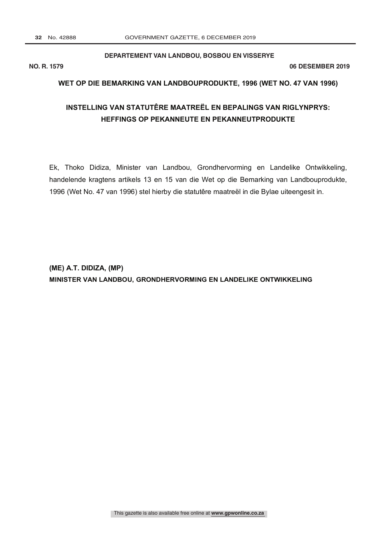#### **DEPARTEMENT VAN LANDBOU, BOSBOU EN VISSERYE**

**NO. R. 1579 06 DESEMBER 2019**

#### **WET OP DIE BEMARKING VAN LANDBOUPRODUKTE, 1996 (WET NO. 47 VAN 1996)**

# **INSTELLING VAN STATUTÊRE MAATREËL EN BEPALINGS VAN RIGLYNPRYS: HEFFINGS OP PEKANNEUTE EN PEKANNEUTPRODUKTE**

Ek, Thoko Didiza, Minister van Landbou, Grondhervorming en Landelike Ontwikkeling, handelende kragtens artikels 13 en 15 van die Wet op die Bemarking van Landbouprodukte, 1996 (Wet No. 47 van 1996) stel hierby die statutêre maatreël in die Bylae uiteengesit in.

**(ME) A.T. DIDIZA, (MP) MINISTER VAN LANDBOU, GRONDHERVORMING EN LANDELIKE ONTWIKKELING**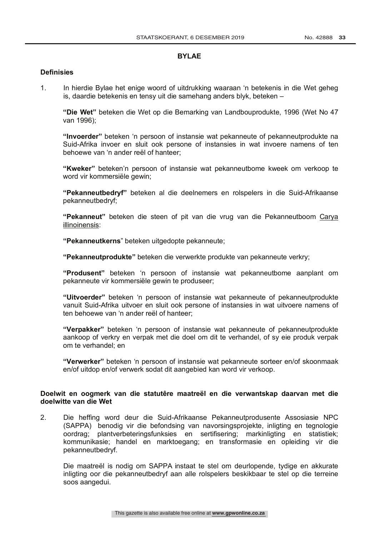#### **BYLAE**

### **Definisies**

1. In hierdie Bylae het enige woord of uitdrukking waaraan 'n betekenis in die Wet geheg is, daardie betekenis en tensy uit die samehang anders blyk, beteken –

**"Die Wet"** beteken die Wet op die Bemarking van Landbouprodukte, 1996 (Wet No 47 van 1996);

**"Invoerder"** beteken 'n persoon of instansie wat pekanneute of pekanneutprodukte na Suid-Afrika invoer en sluit ook persone of instansies in wat invoere namens of ten behoewe van 'n ander reël of hanteer;

**"Kweker"** beteken'n persoon of instansie wat pekanneutbome kweek om verkoop te word vir kommersiële gewin;

**"Pekanneutbedryf"** beteken al die deelnemers en rolspelers in die Suid-Afrikaanse pekanneutbedryf;

**"Pekanneut"** beteken die steen of pit van die vrug van die Pekanneutboom Carya illinoinensis:

**"Pekanneutkerns**" beteken uitgedopte pekanneute;

**"Pekanneutprodukte"** beteken die verwerkte produkte van pekanneute verkry;

**"Produsent"** beteken 'n persoon of instansie wat pekanneutbome aanplant om pekanneute vir kommersiële gewin te produseer;

**"Uitvoerder"** beteken 'n persoon of instansie wat pekanneute of pekanneutprodukte vanuit Suid-Afrika uitvoer en sluit ook persone of instansies in wat uitvoere namens of ten behoewe van 'n ander reël of hanteer;

**"Verpakker"** beteken 'n persoon of instansie wat pekanneute of pekanneutprodukte aankoop of verkry en verpak met die doel om dit te verhandel, of sy eie produk verpak om te verhandel; en

**"Verwerker"** beteken 'n persoon of instansie wat pekanneute sorteer en/of skoonmaak en/of uitdop en/of verwerk sodat dit aangebied kan word vir verkoop.

# **Doelwit en oogmerk van die statutêre maatreël en die verwantskap daarvan met die doelwitte van die Wet**

2. Die heffing word deur die Suid-Afrikaanse Pekanneutprodusente Assosiasie NPC (SAPPA) benodig vir die befondsing van navorsingsprojekte, inligting en tegnologie oordrag; plantverbeteringsfunksies en sertifisering; markinligting en statistiek; kommunikasie; handel en marktoegang; en transformasie en opleiding vir die pekanneutbedryf.

Die maatreël is nodig om SAPPA instaat te stel om deurlopende, tydige en akkurate inligting oor die pekanneutbedryf aan alle rolspelers beskikbaar te stel op die terreine soos aangedui.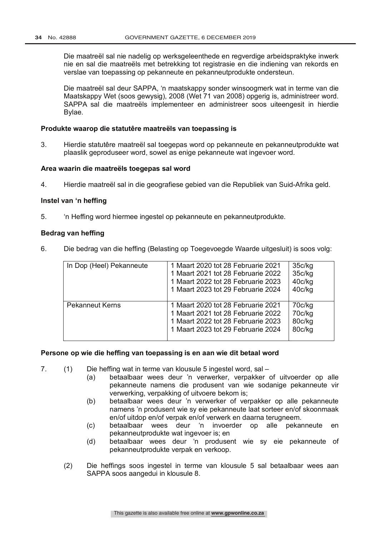Die maatreël sal nie nadelig op werksgeleenthede en regverdige arbeidspraktyke inwerk nie en sal die maatreëls met betrekking tot registrasie en die indiening van rekords en verslae van toepassing op pekanneute en pekanneutprodukte ondersteun.

Die maatreël sal deur SAPPA, 'n maatskappy sonder winsoogmerk wat in terme van die Maatskappy Wet (soos gewysig), 2008 (Wet 71 van 2008) opgerig is, administreer word. SAPPA sal die maatreëls implementeer en administreer soos uiteengesit in hierdie Bylae.

## **Produkte waarop die statutêre maatreëls van toepassing is**

3. Hierdie statutêre maatreël sal toegepas word op pekanneute en pekanneutprodukte wat plaaslik geproduseer word, sowel as enige pekanneute wat ingevoer word.

#### **Area waarin die maatreëls toegepas sal word**

4. Hierdie maatreël sal in die geografiese gebied van die Republiek van Suid-Afrika geld.

#### **Instel van 'n heffing**

5. 'n Heffing word hiermee ingestel op pekanneute en pekanneutprodukte.

## **Bedrag van heffing**

6. Die bedrag van die heffing (Belasting op Toegevoegde Waarde uitgesluit) is soos volg:

| In Dop (Heel) Pekanneute | 1 Maart 2020 tot 28 Februarie 2021<br>1 Maart 2021 tot 28 Februarie 2022<br>1 Maart 2022 tot 28 Februarie 2023<br>1 Maart 2023 tot 29 Februarie 2024 | 35c/kg<br>35c/kg<br>40c/kg<br>40c/kg |
|--------------------------|------------------------------------------------------------------------------------------------------------------------------------------------------|--------------------------------------|
| <b>Pekanneut Kerns</b>   | 1 Maart 2020 tot 28 Februarie 2021<br>1 Maart 2021 tot 28 Februarie 2022<br>1 Maart 2022 tot 28 Februarie 2023<br>1 Maart 2023 tot 29 Februarie 2024 | 70c/kg<br>70c/kg<br>80c/kg<br>80c/kg |

#### **Persone op wie die heffing van toepassing is en aan wie dit betaal word**

- 7. (1) Die heffing wat in terme van klousule 5 ingestel word, sal
	- (a) betaalbaar wees deur 'n verwerker, verpakker of uitvoerder op alle pekanneute namens die produsent van wie sodanige pekanneute vir verwerking, verpakking of uitvoere bekom is;
	- (b) betaalbaar wees deur 'n verwerker of verpakker op alle pekanneute namens 'n produsent wie sy eie pekanneute laat sorteer en/of skoonmaak en/of uitdop en/of verpak en/of verwerk en daarna terugneem.
	- (c) betaalbaar wees deur 'n invoerder op alle pekanneute en pekanneutprodukte wat ingevoer is; en
	- (d) betaalbaar wees deur 'n produsent wie sy eie pekanneute of pekanneutprodukte verpak en verkoop.
	- (2) Die heffings soos ingestel in terme van klousule 5 sal betaalbaar wees aan SAPPA soos aangedui in klousule 8.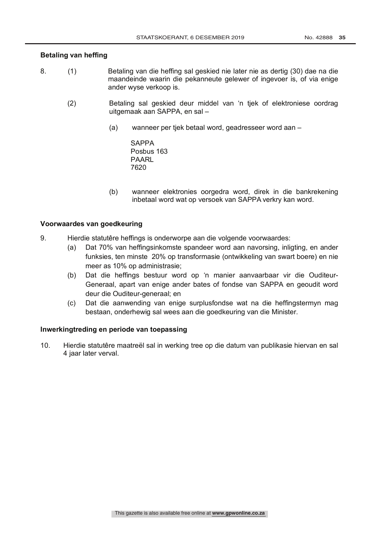# **Betaling van heffing**

- 8. (1) Betaling van die heffing sal geskied nie later nie as dertig (30) dae na die maandeinde waarin die pekanneute gelewer of ingevoer is, of via enige ander wyse verkoop is.
	- (2) Betaling sal geskied deur middel van 'n tjek of elektroniese oordrag uitgemaak aan SAPPA, en sal –
		- (a) wanneer per tjek betaal word, geadresseer word aan –

**SAPPA** Posbus 163 PAARL 7620

(b) wanneer elektronies oorgedra word, direk in die bankrekening inbetaal word wat op versoek van SAPPA verkry kan word.

# **Voorwaardes van goedkeuring**

- 9. Hierdie statutêre heffings is onderworpe aan die volgende voorwaardes:
	- (a) Dat 70% van heffingsinkomste spandeer word aan navorsing, inligting, en ander funksies, ten minste 20% op transformasie (ontwikkeling van swart boere) en nie meer as 10% op administrasie;
	- (b) Dat die heffings bestuur word op 'n manier aanvaarbaar vir die Ouditeur-Generaal, apart van enige ander bates of fondse van SAPPA en geoudit word deur die Ouditeur-generaal; en
	- (c) Dat die aanwending van enige surplusfondse wat na die heffingstermyn mag bestaan, onderhewig sal wees aan die goedkeuring van die Minister.

# **Inwerkingtreding en periode van toepassing**

10. Hierdie statutêre maatreël sal in werking tree op die datum van publikasie hiervan en sal 4 jaar later verval.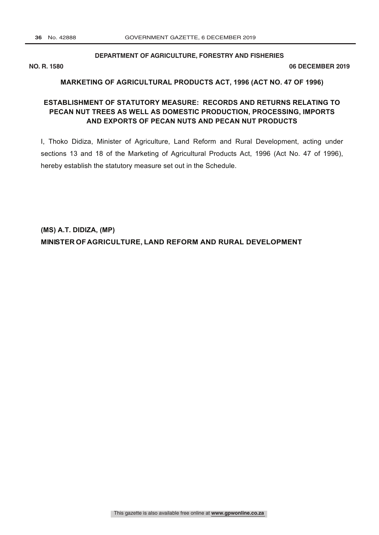#### **DEPARTMENT OF AGRICULTURE, FORESTRY AND FISHERIES**

**NO. R. 1580 06 DECEMBER 2019**

### **MARKETING OF AGRICULTURAL PRODUCTS ACT, 1996 (ACT NO. 47 OF 1996)**

# **ESTABLISHMENT OF STATUTORY MEASURE: RECORDS AND RETURNS RELATING TO PECAN NUT TREES AS WELL AS DOMESTIC PRODUCTION, PROCESSING, IMPORTS AND EXPORTS OF PECAN NUTS AND PECAN NUT PRODUCTS**

I, Thoko Didiza, Minister of Agriculture, Land Reform and Rural Development, acting under sections 13 and 18 of the Marketing of Agricultural Products Act, 1996 (Act No. 47 of 1996), hereby establish the statutory measure set out in the Schedule.

**(MS) A.T. DIDIZA, (MP) MINISTER OFAGRICULTURE, LAND REFORM AND RURAL DEVELOPMENT**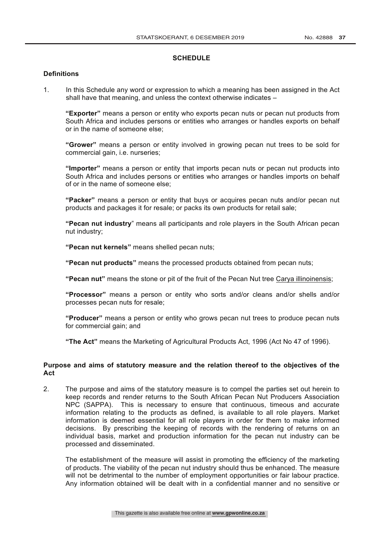### **SCHEDULE**

#### **Definitions**

1. In this Schedule any word or expression to which a meaning has been assigned in the Act shall have that meaning, and unless the context otherwise indicates –

**"Exporter"** means a person or entity who exports pecan nuts or pecan nut products from South Africa and includes persons or entities who arranges or handles exports on behalf or in the name of someone else;

**"Grower"** means a person or entity involved in growing pecan nut trees to be sold for commercial gain, i.e. nurseries;

**"Importer"** means a person or entity that imports pecan nuts or pecan nut products into South Africa and includes persons or entities who arranges or handles imports on behalf of or in the name of someone else;

**"Packer"** means a person or entity that buys or acquires pecan nuts and/or pecan nut products and packages it for resale; or packs its own products for retail sale;

**"Pecan nut industry**" means all participants and role players in the South African pecan nut industry;

**"Pecan nut kernels"** means shelled pecan nuts;

**"Pecan nut products"** means the processed products obtained from pecan nuts;

**"Pecan nut"** means the stone or pit of the fruit of the Pecan Nut tree Carya illinoinensis;

**"Processor"** means a person or entity who sorts and/or cleans and/or shells and/or processes pecan nuts for resale;

**"Producer"** means a person or entity who grows pecan nut trees to produce pecan nuts for commercial gain; and

**"The Act"** means the Marketing of Agricultural Products Act, 1996 (Act No 47 of 1996).

### **Purpose and aims of statutory measure and the relation thereof to the objectives of the Act**

2. The purpose and aims of the statutory measure is to compel the parties set out herein to keep records and render returns to the South African Pecan Nut Producers Association NPC (SAPPA). This is necessary to ensure that continuous, timeous and accurate information relating to the products as defined, is available to all role players. Market information is deemed essential for all role players in order for them to make informed decisions. By prescribing the keeping of records with the rendering of returns on an individual basis, market and production information for the pecan nut industry can be processed and disseminated.

The establishment of the measure will assist in promoting the efficiency of the marketing of products. The viability of the pecan nut industry should thus be enhanced. The measure will not be detrimental to the number of employment opportunities or fair labour practice. Any information obtained will be dealt with in a confidential manner and no sensitive or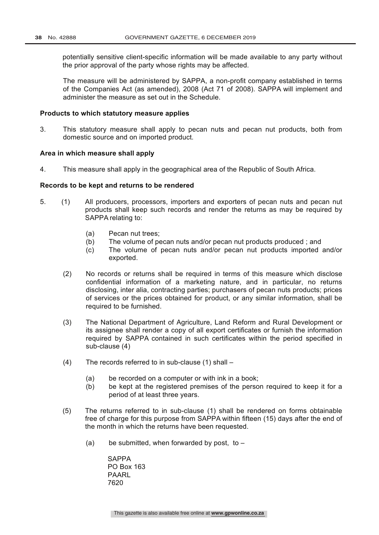potentially sensitive client-specific information will be made available to any party without the prior approval of the party whose rights may be affected.

The measure will be administered by SAPPA, a non-profit company established in terms of the Companies Act (as amended), 2008 (Act 71 of 2008). SAPPA will implement and administer the measure as set out in the Schedule.

#### **Products to which statutory measure applies**

3. This statutory measure shall apply to pecan nuts and pecan nut products, both from domestic source and on imported product.

#### **Area in which measure shall apply**

4. This measure shall apply in the geographical area of the Republic of South Africa.

#### **Records to be kept and returns to be rendered**

- 5. (1) All producers, processors, importers and exporters of pecan nuts and pecan nut products shall keep such records and render the returns as may be required by SAPPA relating to:
	- (a) Pecan nut trees;
	- (b) The volume of pecan nuts and/or pecan nut products produced ; and
	- (c) The volume of pecan nuts and/or pecan nut products imported and/or exported.
	- (2) No records or returns shall be required in terms of this measure which disclose confidential information of a marketing nature, and in particular, no returns disclosing, inter alia, contracting parties; purchasers of pecan nuts products; prices of services or the prices obtained for product, or any similar information, shall be required to be furnished.
	- (3) The National Department of Agriculture, Land Reform and Rural Development or its assignee shall render a copy of all export certificates or furnish the information required by SAPPA contained in such certificates within the period specified in sub-clause (4)
	- (4) The records referred to in sub-clause (1) shall
		- (a) be recorded on a computer or with ink in a book;
		- (b) be kept at the registered premises of the person required to keep it for a period of at least three years.
	- (5) The returns referred to in sub-clause (1) shall be rendered on forms obtainable free of charge for this purpose from SAPPA within fifteen (15) days after the end of the month in which the returns have been requested.
		- (a) be submitted, when forwarded by post, to  $-$

**SAPPA** PO Box 163 PAARL 7620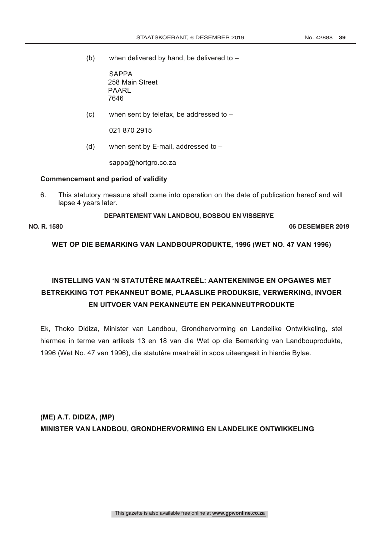(b) when delivered by hand, be delivered to  $-$ 

**SAPPA** 258 Main Street PAARL 7646

(c) when sent by telefax, be addressed to  $-$ 

021 870 2915

(d) when sent by E-mail, addressed to  $-$ 

sappa@hortgro.co.za

#### **Commencement and period of validity DEPARTEMENT VAN LANDBOU, GRONDHERVORMING EN LANDELIKE ONTWIKKELING**

6. This statutory measure shall come into operation on the date of publication hereof and will lapse 4 years later.

**DEPARTEMENT VAN LANDBOU, BOSBOU EN VISSERYE**

**NO. R. 1580 06 DESEMBER 2019**

**WET OP DIE BEMARKING VAN LANDBOUPRODUKTE, 1996 (WET NO. 47 VAN 1996)**

# **INSTELLING VAN 'N STATUTÊRE MAATREËL: AANTEKENINGE EN OPGAWES MET BETREKKING TOT PEKANNEUT BOME, PLAASLIKE PRODUKSIE, VERWERKING, INVOER EN UITVOER VAN PEKANNEUTE EN PEKANNEUTPRODUKTE**

Ek, Thoko Didiza, Minister van Landbou, Grondhervorming en Landelike Ontwikkeling, stel hiermee in terme van artikels 13 en 18 van die Wet op die Bemarking van Landbouprodukte, 1996 (Wet No. 47 van 1996), die statutêre maatreël in soos uiteengesit in hierdie Bylae.

**(ME) A.T. DIDIZA, (MP) MINISTER VAN LANDBOU, GRONDHERVORMING EN LANDELIKE ONTWIKKELING**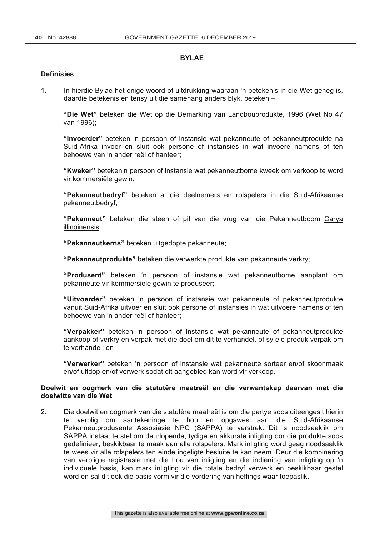# **BYLAE**

# **Definisies**

1. In hierdie Bylae het enige woord of uitdrukking waaraan 'n betekenis in die Wet geheg is, daardie betekenis en tensy uit die samehang anders blyk, beteken –

**"Die Wet"** beteken die Wet op die Bemarking van Landbouprodukte, 1996 (Wet No 47 van 1996);

**"Invoerder"** beteken 'n persoon of instansie wat pekanneute of pekanneutprodukte na Suid-Afrika invoer en sluit ook persone of instansies in wat invoere namens of ten behoewe van 'n ander reël of hanteer;

**"Kweker"** beteken'n persoon of instansie wat pekanneutbome kweek om verkoop te word vir kommersiële gewin;

**"Pekanneutbedryf"** beteken al die deelnemers en rolspelers in die Suid-Afrikaanse pekanneutbedryf;

**"Pekanneut"** beteken die steen of pit van die vrug van die Pekanneutboom Carya illinoinensis:

**"Pekanneutkerns"** beteken uitgedopte pekanneute;

**"Pekanneutprodukte"** beteken die verwerkte produkte van pekanneute verkry;

**"Produsent"** beteken 'n persoon of instansie wat pekanneutbome aanplant om pekanneute vir kommersiële gewin te produseer;

**"Uitvoerder"** beteken 'n persoon of instansie wat pekanneute of pekanneutprodukte vanuit Suid-Afrika uitvoer en sluit ook persone of instansies in wat uitvoere namens of ten behoewe van 'n ander reël of hanteer;

**"Verpakker"** beteken 'n persoon of instansie wat pekanneute of pekanneutprodukte aankoop of verkry en verpak met die doel om dit te verhandel, of sy eie produk verpak om te verhandel; en

**"Verwerker"** beteken 'n persoon of instansie wat pekanneute sorteer en/of skoonmaak en/of uitdop en/of verwerk sodat dit aangebied kan word vir verkoop.

# **Doelwit en oogmerk van die statutêre maatreël en die verwantskap daarvan met die doelwitte van die Wet**

2. Die doelwit en oogmerk van die statutêre maatreël is om die partye soos uiteengesit hierin te verplig om aantekeninge te hou en opgawes aan die Suid-Afrikaanse Pekanneutprodusente Assosiasie NPC (SAPPA) te verstrek. Dit is noodsaaklik om SAPPA instaat te stel om deurlopende, tydige en akkurate inligting oor die produkte soos gedefinieer, beskikbaar te maak aan alle rolspelers. Mark inligting word geag noodsaaklik te wees vir alle rolspelers ten einde ingeligte besluite te kan neem. Deur die kombinering van verpligte registrasie met die hou van inligting en die indiening van inligting op 'n individuele basis, kan mark inligting vir die totale bedryf verwerk en beskikbaar gestel word en sal dit ook die basis vorm vir die vordering van heffings waar toepaslik.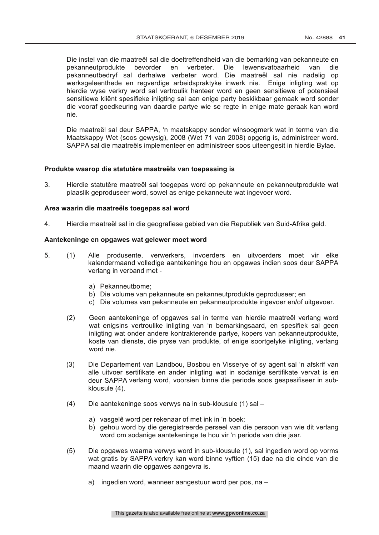Die instel van die maatreël sal die doeltreffendheid van die bemarking van pekanneute en pekanneutprodukte bevorder en verbeter. Die lewensvatbaarheid van die pekanneutbedryf sal derhalwe verbeter word. Die maatreël sal nie nadelig op werksgeleenthede en regverdige arbeidspraktyke inwerk nie. Enige inligting wat op hierdie wyse verkry word sal vertroulik hanteer word en geen sensitiewe of potensieel sensitiewe kliënt spesifieke inligting sal aan enige party beskikbaar gemaak word sonder die vooraf goedkeuring van daardie partye wie se regte in enige mate geraak kan word nie.

Die maatreël sal deur SAPPA, 'n maatskappy sonder winsoogmerk wat in terme van die Maatskappy Wet (soos gewysig), 2008 (Wet 71 van 2008) opgerig is, administreer word. SAPPA sal die maatreëls implementeer en administreer soos uiteengesit in hierdie Bylae.

### **Produkte waarop die statutêre maatreëls van toepassing is**

3. Hierdie statutêre maatreël sal toegepas word op pekanneute en pekanneutprodukte wat plaaslik geproduseer word, sowel as enige pekanneute wat ingevoer word.

#### **Area waarin die maatreëls toegepas sal word**

4. Hierdie maatreël sal in die geografiese gebied van die Republiek van Suid-Afrika geld.

#### **Aantekeninge en opgawes wat gelewer moet word**

- 5. (1) Alle produsente, verwerkers, invoerders en uitvoerders moet vir elke kalendermaand volledige aantekeninge hou en opgawes indien soos deur SAPPA verlang in verband met
	- a) Pekanneutbome;
	- b) Die volume van pekanneute en pekanneutprodukte geproduseer; en
	- c) Die volumes van pekanneute en pekanneutprodukte ingevoer en/of uitgevoer.
	- (2) Geen aantekeninge of opgawes sal in terme van hierdie maatreël verlang word wat enigsins vertroulike inligting van 'n bemarkingsaard, en spesifiek sal geen inligting wat onder andere kontrakterende partye, kopers van pekanneutprodukte, koste van dienste, die pryse van produkte, of enige soortgelyke inligting, verlang word nie.
	- (3) Die Departement van Landbou, Bosbou en Visserye of sy agent sal 'n afskrif van alle uitvoer sertifikate en ander inligting wat in sodanige sertifikate vervat is en deur SAPPA verlang word, voorsien binne die periode soos gespesifiseer in subklousule (4).
	- (4) Die aantekeninge soos verwys na in sub-klousule (1) sal
		- a) vasgelê word per rekenaar of met ink in 'n boek;
		- b) gehou word by die geregistreerde perseel van die persoon van wie dit verlang word om sodanige aantekeninge te hou vir 'n periode van drie jaar.
	- (5) Die opgawes waarna verwys word in sub-klousule (1), sal ingedien word op vorms wat gratis by SAPPA verkry kan word binne vyftien (15) dae na die einde van die maand waarin die opgawes aangevra is.
		- a) ingedien word, wanneer aangestuur word per pos, na –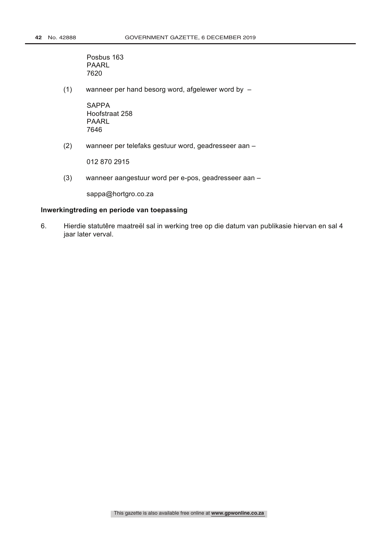Posbus 163 PAARL 7620

(1) wanneer per hand besorg word, afgelewer word by –

SAPPA Hoofstraat 258 PAARL 7646

(2) wanneer per telefaks gestuur word, geadresseer aan –

012 870 2915

(3) wanneer aangestuur word per e-pos, geadresseer aan –

sappa@hortgro.co.za

# **Inwerkingtreding en periode van toepassing**

6. Hierdie statutêre maatreël sal in werking tree op die datum van publikasie hiervan en sal 4 jaar later verval.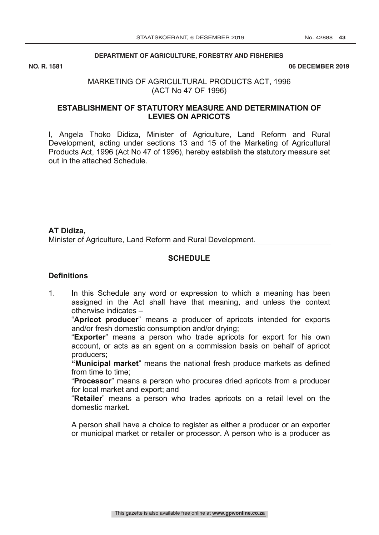# **DEPARTMENT OF AGRICULTURE, FORESTRY AND FISHERIES DEVELOPMENT**

NO. R. 1581

#### **06 DECEMBER 2019**

# MARKETING OF AGRICULTURAL PRODUCTS ACT, 1996 (ACT No 47 OF 1996)

# **ESTABLISHMENT OF STATUTORY MEASURE AND DETERMINATION OF LEVIES ON APRICOTS**

I, Angela Thoko Didiza, Minister of Agriculture, Land Reform and Rural Development, acting under sections 13 and 15 of the Marketing of Agricultural Products Act, 1996 (Act No 47 of 1996), hereby establish the statutory measure set out in the attached Schedule.

**AT Didiza,** Minister of Agriculture, Land Reform and Rural Development.

# **SCHEDULE**

# **Definitions**

1. In this Schedule any word or expression to which a meaning has been assigned in the Act shall have that meaning, and unless the context otherwise indicates –

"**Apricot producer**" means a producer of apricots intended for exports and/or fresh domestic consumption and/or drying;

"**Exporter**" means a person who trade apricots for export for his own account, or acts as an agent on a commission basis on behalf of apricot producers;

**"Municipal market**" means the national fresh produce markets as defined from time to time;

"**Processor**" means a person who procures dried apricots from a producer for local market and export; and

"**Retailer**" means a person who trades apricots on a retail level on the domestic market.

A person shall have a choice to register as either a producer or an exporter or municipal market or retailer or processor. A person who is a producer as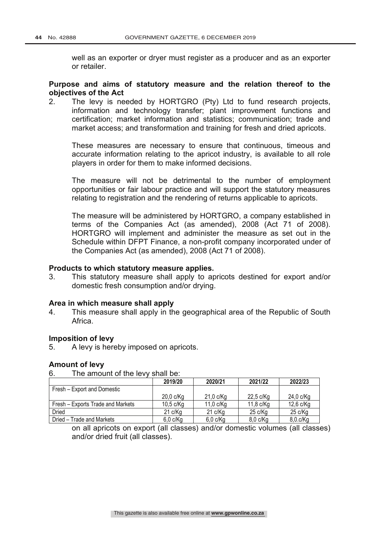well as an exporter or dryer must register as a producer and as an exporter or retailer.

# **Purpose and aims of statutory measure and the relation thereof to the objectives of the Act**

2. The levy is needed by HORTGRO (Pty) Ltd to fund research projects, information and technology transfer; plant improvement functions and certification; market information and statistics; communication; trade and market access; and transformation and training for fresh and dried apricots.

These measures are necessary to ensure that continuous, timeous and accurate information relating to the apricot industry, is available to all role players in order for them to make informed decisions.

The measure will not be detrimental to the number of employment opportunities or fair labour practice and will support the statutory measures relating to registration and the rendering of returns applicable to apricots.

The measure will be administered by HORTGRO, a company established in terms of the Companies Act (as amended), 2008 (Act 71 of 2008). HORTGRO will implement and administer the measure as set out in the Schedule within DFPT Finance, a non-profit company incorporated under of the Companies Act (as amended), 2008 (Act 71 of 2008).

# **Products to which statutory measure applies.**

3. This statutory measure shall apply to apricots destined for export and/or domestic fresh consumption and/or drying.

# **Area in which measure shall apply**

4. This measure shall apply in the geographical area of the Republic of South Africa.

# **Imposition of levy**

5. A levy is hereby imposed on apricots.

# **Amount of levy**

6. The amount of the levy shall be:

|                                   | 2019/20        | 2020/21        | 2021/22        | 2022/23           |
|-----------------------------------|----------------|----------------|----------------|-------------------|
| Fresh - Export and Domestic       |                |                |                |                   |
|                                   | $20,0$ c/ $Kq$ | 21,0 c/Kg      | 22,5 c/Kg      | 24,0 c/Kg         |
| Fresh – Exports Trade and Markets | $10.5$ c/Kg    | $11,0$ c/ $Kq$ | $11,8$ c/ $Kq$ | 12,6 c/Kg         |
| Dried                             | 21 c/Kg        | 21 c/Kg        | 25 c/Kg        | $25 \text{ c/Kg}$ |
| Dried - Trade and Markets         | $6,0$ c/ $Kg$  | $6,0$ c/ $Kg$  | 8,0 c/Kg       | 8,0.c/Kg          |

on all apricots on export (all classes) and/or domestic volumes (all classes) and/or dried fruit (all classes).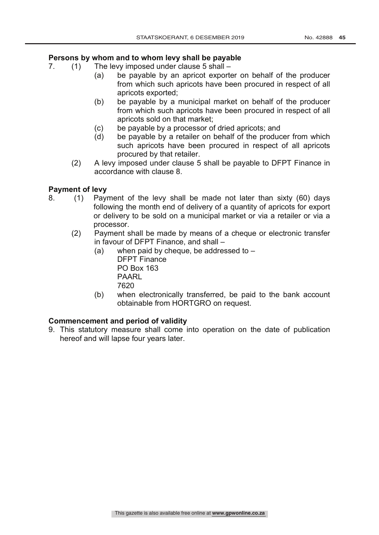# **Persons by whom and to whom levy shall be payable**

- 7. (1) The levy imposed under clause 5 shall
	- (a) be payable by an apricot exporter on behalf of the producer from which such apricots have been procured in respect of all apricots exported;
	- (b) be payable by a municipal market on behalf of the producer from which such apricots have been procured in respect of all apricots sold on that market;
	- (c) be payable by a processor of dried apricots; and<br>(d) be payable by a retailer on behalf of the produc
	- be payable by a retailer on behalf of the producer from which such apricots have been procured in respect of all apricots procured by that retailer.
	- (2) A levy imposed under clause 5 shall be payable to DFPT Finance in accordance with clause 8.

# **Payment of levy**

- 8. (1) Payment of the levy shall be made not later than sixty (60) days following the month end of delivery of a quantity of apricots for export or delivery to be sold on a municipal market or via a retailer or via a processor.
	- (2) Payment shall be made by means of a cheque or electronic transfer in favour of DFPT Finance, and shall –
		- (a) when paid by cheque, be addressed to  $-$ DFPT Finance PO Box 163 PAARL 7620
		- (b) when electronically transferred, be paid to the bank account obtainable from HORTGRO on request.

# **Commencement and period of validity**

9. This statutory measure shall come into operation on the date of publication hereof and will lapse four years later.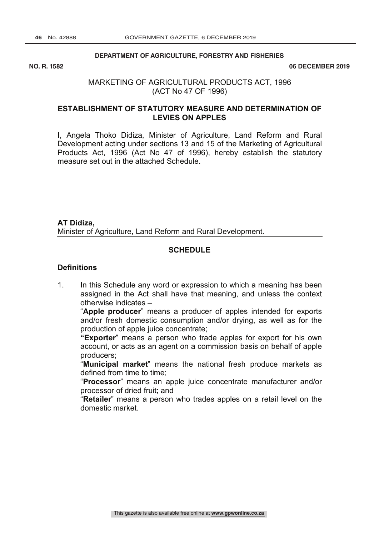# **DEPARTMENT OF AGRICULTURE, FORESTRY AND FISHERIES DEVELOPMENT**

NO. R. 1582

#### **NO. R. 1582 06 DECEMBER 2019**

# MARKETING OF AGRICULTURAL PRODUCTS ACT, 1996 (ACT No 47 OF 1996)

# **ESTABLISHMENT OF STATUTORY MEASURE AND DETERMINATION OF LEVIES ON APPLES**

I, Angela Thoko Didiza, Minister of Agriculture, Land Reform and Rural Development acting under sections 13 and 15 of the Marketing of Agricultural Products Act, 1996 (Act No 47 of 1996), hereby establish the statutory measure set out in the attached Schedule.

**AT Didiza,** Minister of Agriculture, Land Reform and Rural Development.

# **SCHEDULE**

# **Definitions**

1. In this Schedule any word or expression to which a meaning has been assigned in the Act shall have that meaning, and unless the context otherwise indicates –

"**Apple producer**" means a producer of apples intended for exports and/or fresh domestic consumption and/or drying, as well as for the production of apple juice concentrate;

**"Exporter**" means a person who trade apples for export for his own account, or acts as an agent on a commission basis on behalf of apple producers;

"**Municipal market**" means the national fresh produce markets as defined from time to time;

"**Processor**" means an apple juice concentrate manufacturer and/or processor of dried fruit; and

"**Retailer**" means a person who trades apples on a retail level on the domestic market.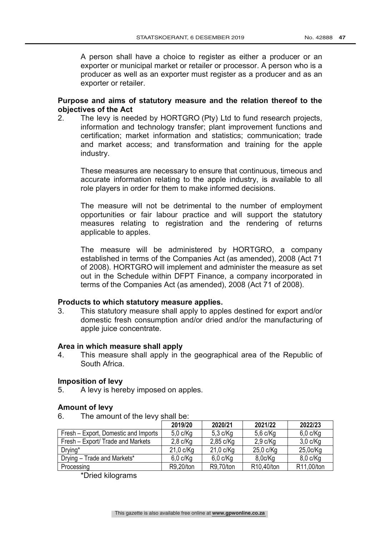A person shall have a choice to register as either a producer or an exporter or municipal market or retailer or processor. A person who is a producer as well as an exporter must register as a producer and as an exporter or retailer.

# **Purpose and aims of statutory measure and the relation thereof to the objectives of the Act**

2. The levy is needed by HORTGRO (Pty) Ltd to fund research projects, information and technology transfer; plant improvement functions and certification; market information and statistics; communication; trade and market access; and transformation and training for the apple industry.

These measures are necessary to ensure that continuous, timeous and accurate information relating to the apple industry, is available to all role players in order for them to make informed decisions.

The measure will not be detrimental to the number of employment opportunities or fair labour practice and will support the statutory measures relating to registration and the rendering of returns applicable to apples.

The measure will be administered by HORTGRO, a company established in terms of the Companies Act (as amended), 2008 (Act 71 of 2008). HORTGRO will implement and administer the measure as set out in the Schedule within DFPT Finance, a company incorporated in terms of the Companies Act (as amended), 2008 (Act 71 of 2008).

# **Products to which statutory measure applies.**

3. This statutory measure shall apply to apples destined for export and/or domestic fresh consumption and/or dried and/or the manufacturing of apple juice concentrate.

# **Area in which measure shall apply**

4. This measure shall apply in the geographical area of the Republic of South Africa.

# **Imposition of levy**

5. A levy is hereby imposed on apples.

# **Amount of levy**

6. The amount of the levy shall be:

|                                      | 2019/20     | 2020/21             | 2021/22    | 2022/23    |
|--------------------------------------|-------------|---------------------|------------|------------|
| Fresh – Export, Domestic and Imports | $5,0$ c/Kg  | $5,3$ c/Kg          | $5,6$ c/Kg | $6,0$ c/Kg |
| Fresh – Export/ Trade and Markets    | $2,8$ c/Kg  | $2,85$ c/Kg         | $2,9$ c/Kg | $3,0$ c/Kg |
| Drying*                              | $21,0$ c/Kg | $21,0 \text{ c/Kg}$ | 25,0 c/Kg  | 25,0c/Kg   |
| Drying - Trade and Markets*          | $6,0$ c/Kg  | $6,0$ c/Kg          | 8,0c/Kg    | $8,0$ c/Kg |
| Processing                           | R9,20/ton   | R9,70/ton           | R10,40/ton | R11,00/ton |

\*Dried kilograms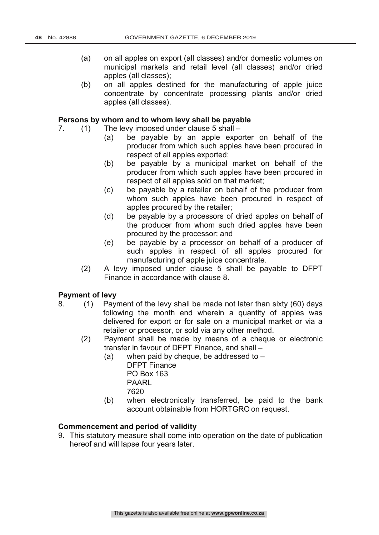- (a) on all apples on export (all classes) and/or domestic volumes on municipal markets and retail level (all classes) and/or dried apples (all classes);
- (b) on all apples destined for the manufacturing of apple juice concentrate by concentrate processing plants and/or dried apples (all classes).

# **Persons by whom and to whom levy shall be payable**

- 7. (1) The levy imposed under clause 5 shall
	- (a) be payable by an apple exporter on behalf of the producer from which such apples have been procured in respect of all apples exported;
	- (b) be payable by a municipal market on behalf of the producer from which such apples have been procured in respect of all apples sold on that market;
	- (c) be payable by a retailer on behalf of the producer from whom such apples have been procured in respect of apples procured by the retailer;
	- (d) be payable by a processors of dried apples on behalf of the producer from whom such dried apples have been procured by the processor; and
	- (e) be payable by a processor on behalf of a producer of such apples in respect of all apples procured for manufacturing of apple juice concentrate.
	- (2) A levy imposed under clause 5 shall be payable to DFPT Finance in accordance with clause 8.

#### **Payment of levy**

- 8. (1) Payment of the levy shall be made not later than sixty (60) days following the month end wherein a quantity of apples was delivered for export or for sale on a municipal market or via a retailer or processor, or sold via any other method.
	- (2) Payment shall be made by means of a cheque or electronic transfer in favour of DFPT Finance, and shall –
		- (a) when paid by cheque, be addressed to  $-$ DFPT Finance PO Box 163 PAARL 7620
		- (b) when electronically transferred, be paid to the bank account obtainable from HORTGRO on request.

# **Commencement and period of validity**

9. This statutory measure shall come into operation on the date of publication hereof and will lapse four years later.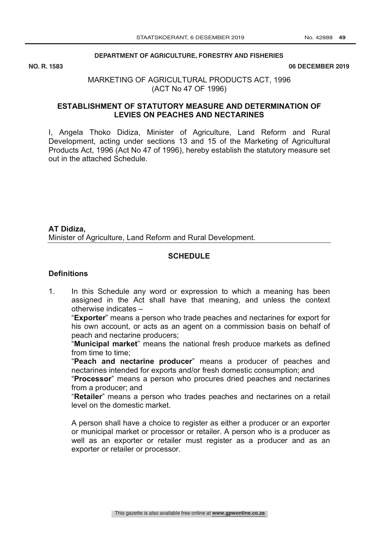#### **DEPARTMENT OF AGRICULTURE, FORESTRY AND FISHERIES**

NO. R. 1583

**06 DECEMBER 2019** 

# MARKETING OF AGRICULTURAL PRODUCTS ACT, 1996 (ACT No 47 OF 1996)

# **ESTABLISHMENT OF STATUTORY MEASURE AND DETERMINATION OF LEVIES ON PEACHES AND NECTARINES**

I, Angela Thoko Didiza, Minister of Agriculture, Land Reform and Rural Development, acting under sections 13 and 15 of the Marketing of Agricultural Products Act, 1996 (Act No 47 of 1996), hereby establish the statutory measure set out in the attached Schedule.

**AT Didiza,** Minister of Agriculture, Land Reform and Rural Development.

# **SCHEDULE**

# **Definitions**

1. In this Schedule any word or expression to which a meaning has been assigned in the Act shall have that meaning, and unless the context otherwise indicates –

"**Exporter**" means a person who trade peaches and nectarines for export for his own account, or acts as an agent on a commission basis on behalf of peach and nectarine producers;

"**Municipal market**" means the national fresh produce markets as defined from time to time;

"**Peach and nectarine producer**" means a producer of peaches and nectarines intended for exports and/or fresh domestic consumption; and

"**Processor**" means a person who procures dried peaches and nectarines from a producer; and

"**Retailer**" means a person who trades peaches and nectarines on a retail level on the domestic market.

A person shall have a choice to register as either a producer or an exporter or municipal market or processor or retailer. A person who is a producer as well as an exporter or retailer must register as a producer and as an exporter or retailer or processor.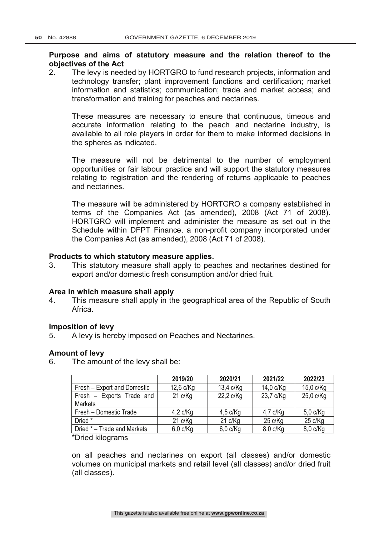# **Purpose and aims of statutory measure and the relation thereof to the objectives of the Act**

2. The levy is needed by HORTGRO to fund research projects, information and technology transfer; plant improvement functions and certification; market information and statistics; communication; trade and market access; and transformation and training for peaches and nectarines.

These measures are necessary to ensure that continuous, timeous and accurate information relating to the peach and nectarine industry, is available to all role players in order for them to make informed decisions in the spheres as indicated.

The measure will not be detrimental to the number of employment opportunities or fair labour practice and will support the statutory measures relating to registration and the rendering of returns applicable to peaches and nectarines.

The measure will be administered by HORTGRO a company established in terms of the Companies Act (as amended), 2008 (Act 71 of 2008). HORTGRO will implement and administer the measure as set out in the Schedule within DFPT Finance, a non-profit company incorporated under the Companies Act (as amended), 2008 (Act 71 of 2008).

# **Products to which statutory measure applies.**

3. This statutory measure shall apply to peaches and nectarines destined for export and/or domestic fresh consumption and/or dried fruit.

# **Area in which measure shall apply**

4. This measure shall apply in the geographical area of the Republic of South Africa.

# **Imposition of levy**

5. A levy is hereby imposed on Peaches and Nectarines.

# **Amount of levy**

6. The amount of the levy shall be:

|                             | 2019/20           | 2020/21       | 2021/22           | 2022/23           |
|-----------------------------|-------------------|---------------|-------------------|-------------------|
| Fresh - Export and Domestic | $12,6$ c/ $Kq$    | 13,4 c/Kg     | 14,0 c/Kg         | 15,0 c/Kg         |
| Fresh - Exports Trade and   | $21 \text{ c/Kg}$ | 22,2 c/Kg     | 23,7 c/Kg         | 25,0 c/Kg         |
| <b>Markets</b>              |                   |               |                   |                   |
| Fresh - Domestic Trade      | $4,2$ c/Kg        | $4,5$ c/Kg    | $4,7$ c/Kg        | $5,0$ c/Kg        |
| Dried *                     | 21 c/Kg           | 21 c/Kg       | $25 \text{ c/Kg}$ | $25 \text{ c/Kg}$ |
| Dried * – Trade and Markets | $6,0$ c/ $Kq$     | $6,0$ c/ $Kq$ | $8,0$ c/ $Kq$     | $8,0$ c/Kg        |

\*Dried kilograms

on all peaches and nectarines on export (all classes) and/or domestic volumes on municipal markets and retail level (all classes) and/or dried fruit (all classes).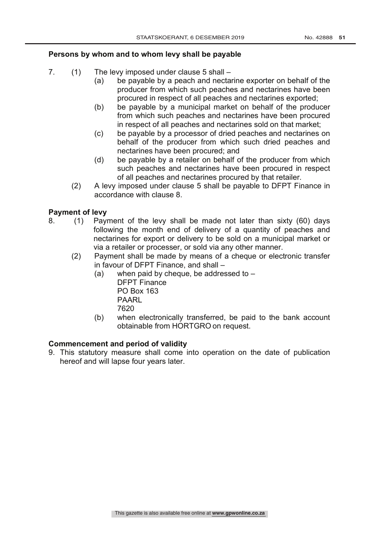# **Persons by whom and to whom levy shall be payable**

- 7. (1) The levy imposed under clause 5 shall
	- (a) be payable by a peach and nectarine exporter on behalf of the producer from which such peaches and nectarines have been procured in respect of all peaches and nectarines exported;
	- (b) be payable by a municipal market on behalf of the producer from which such peaches and nectarines have been procured in respect of all peaches and nectarines sold on that market;
	- (c) be payable by a processor of dried peaches and nectarines on behalf of the producer from which such dried peaches and nectarines have been procured; and
	- (d) be payable by a retailer on behalf of the producer from which such peaches and nectarines have been procured in respect of all peaches and nectarines procured by that retailer.
	- (2) A levy imposed under clause 5 shall be payable to DFPT Finance in accordance with clause 8.

# **Payment of levy**

- 8. (1) Payment of the levy shall be made not later than sixty (60) days following the month end of delivery of a quantity of peaches and nectarines for export or delivery to be sold on a municipal market or via a retailer or processer, or sold via any other manner.
	- (2) Payment shall be made by means of a cheque or electronic transfer in favour of DFPT Finance, and shall –
		- (a) when paid by cheque, be addressed to DFPT Finance PO Box 163 PAARL 7620
		- (b) when electronically transferred, be paid to the bank account obtainable from HORTGRO on request.

# **Commencement and period of validity**

9. This statutory measure shall come into operation on the date of publication hereof and will lapse four years later.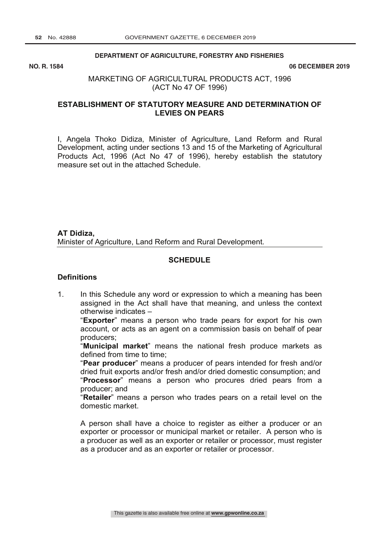#### **DEPARTMENT OF AGRICULTURE, FORESTRY AND FISHERIES**

NO. R. 1584

**NO. R. 1584 06 DECEMBER 2019**

# MARKETING OF AGRICULTURAL PRODUCTS ACT, 1996 (ACT No 47 OF 1996)

# **ESTABLISHMENT OF STATUTORY MEASURE AND DETERMINATION OF LEVIES ON PEARS**

I, Angela Thoko Didiza, Minister of Agriculture, Land Reform and Rural Development, acting under sections 13 and 15 of the Marketing of Agricultural Products Act, 1996 (Act No 47 of 1996), hereby establish the statutory measure set out in the attached Schedule.

**AT Didiza,** Minister of Agriculture, Land Reform and Rural Development.

# **SCHEDULE**

# **Definitions**

1. In this Schedule any word or expression to which a meaning has been assigned in the Act shall have that meaning, and unless the context otherwise indicates –

"**Exporter**" means a person who trade pears for export for his own account, or acts as an agent on a commission basis on behalf of pear producers;

"**Municipal market**" means the national fresh produce markets as defined from time to time;

"**Pear producer**" means a producer of pears intended for fresh and/or dried fruit exports and/or fresh and/or dried domestic consumption; and "**Processor**" means a person who procures dried pears from a producer; and

"**Retailer**" means a person who trades pears on a retail level on the domestic market.

A person shall have a choice to register as either a producer or an exporter or processor or municipal market or retailer. A person who is a producer as well as an exporter or retailer or processor, must register as a producer and as an exporter or retailer or processor.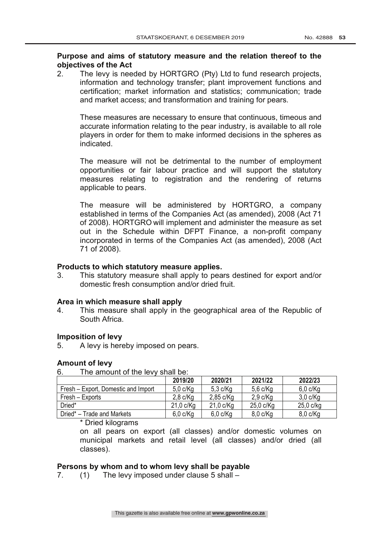# **Purpose and aims of statutory measure and the relation thereof to the objectives of the Act**

2. The levy is needed by HORTGRO (Pty) Ltd to fund research projects, information and technology transfer; plant improvement functions and certification; market information and statistics; communication; trade and market access; and transformation and training for pears.

These measures are necessary to ensure that continuous, timeous and accurate information relating to the pear industry, is available to all role players in order for them to make informed decisions in the spheres as indicated.

The measure will not be detrimental to the number of employment opportunities or fair labour practice and will support the statutory measures relating to registration and the rendering of returns applicable to pears.

The measure will be administered by HORTGRO, a company established in terms of the Companies Act (as amended), 2008 (Act 71 of 2008). HORTGRO will implement and administer the measure as set out in the Schedule within DFPT Finance, a non-profit company incorporated in terms of the Companies Act (as amended), 2008 (Act 71 of 2008).

# **Products to which statutory measure applies.**

3. This statutory measure shall apply to pears destined for export and/or domestic fresh consumption and/or dried fruit.

# **Area in which measure shall apply**

4. This measure shall apply in the geographical area of the Republic of South Africa.

# **Imposition of levy**

5. A levy is hereby imposed on pears.

# **Amount of levy**

6. The amount of the levy shall be:

|                                     | 2019/20     | 2020/21     | 2021/22       | 2022/23       |
|-------------------------------------|-------------|-------------|---------------|---------------|
| Fresh – Export, Domestic and Import | $5,0$ c/Kg  | $5,3$ c/Kg  | $5,6$ c/Kg    | $6,0$ c/ $Kq$ |
| Fresh – Exports                     | $2,8$ c/Kg  | $2,85$ c/Kg | $2.9$ c/Kg    | $3,0$ c/Kg    |
| Dried*                              | $21,0$ c/Kg | $21,0$ c/Kg | 25,0 c/Kg     | $25,0$ c/kg   |
| Dried* – Trade and Markets          | $6,0$ c/Kg  | $6,0$ c/Kg  | $8,0$ c/ $Kq$ | $8,0$ c/ $Kq$ |

# \* Dried kilograms

on all pears on export (all classes) and/or domestic volumes on municipal markets and retail level (all classes) and/or dried (all classes).

# **Persons by whom and to whom levy shall be payable**

7. (1) The levy imposed under clause 5 shall –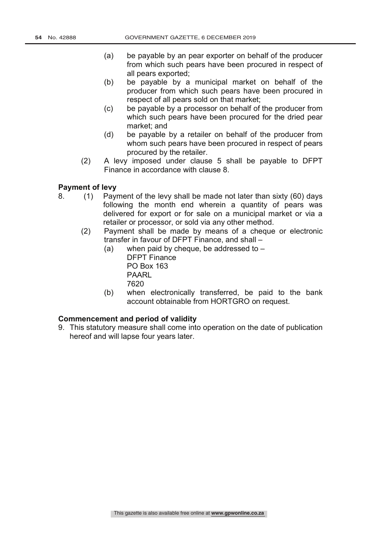- (a) be payable by an pear exporter on behalf of the producer from which such pears have been procured in respect of all pears exported;
- (b) be payable by a municipal market on behalf of the producer from which such pears have been procured in respect of all pears sold on that market;
- (c) be payable by a processor on behalf of the producer from which such pears have been procured for the dried pear market; and
- (d) be payable by a retailer on behalf of the producer from whom such pears have been procured in respect of pears procured by the retailer.
- (2) A levy imposed under clause 5 shall be payable to DFPT Finance in accordance with clause 8.

# **Payment of levy**

- 8. (1) Payment of the levy shall be made not later than sixty (60) days following the month end wherein a quantity of pears was delivered for export or for sale on a municipal market or via a retailer or processor, or sold via any other method.
	- (2) Payment shall be made by means of a cheque or electronic transfer in favour of DFPT Finance, and shall –
		- (a) when paid by cheque, be addressed to DFPT Finance PO Box 163 PAARL 7620
		- (b) when electronically transferred, be paid to the bank account obtainable from HORTGRO on request.

# **Commencement and period of validity**

9. This statutory measure shall come into operation on the date of publication hereof and will lapse four years later.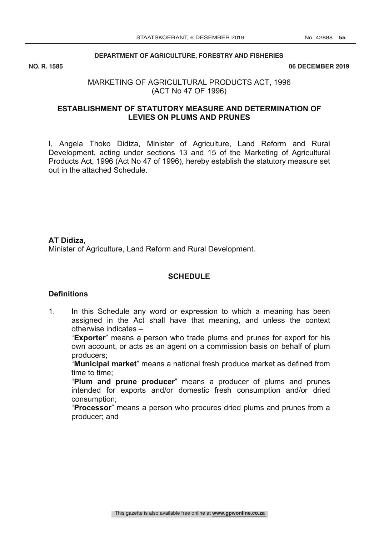#### **DEPARTMENT OF AGRICULTURE, FORESTRY AND FISHERIES**

NO. R. 1585

**06 DECEMBER 2019** 

# MARKETING OF AGRICULTURAL PRODUCTS ACT, 1996 (ACT No 47 OF 1996)

# **ESTABLISHMENT OF STATUTORY MEASURE AND DETERMINATION OF LEVIES ON PLUMS AND PRUNES**

I, Angela Thoko Didiza, Minister of Agriculture, Land Reform and Rural Development, acting under sections 13 and 15 of the Marketing of Agricultural Products Act, 1996 (Act No 47 of 1996), hereby establish the statutory measure set out in the attached Schedule.

# **AT Didiza,** Minister of Agriculture, Land Reform and Rural Development.

# **SCHEDULE**

# **Definitions**

1. In this Schedule any word or expression to which a meaning has been assigned in the Act shall have that meaning, and unless the context otherwise indicates –

"**Exporter**" means a person who trade plums and prunes for export for his own account, or acts as an agent on a commission basis on behalf of plum producers;

"**Municipal market**" means a national fresh produce market as defined from time to time;

"**Plum and prune producer**" means a producer of plums and prunes intended for exports and/or domestic fresh consumption and/or dried consumption;

"**Processor**" means a person who procures dried plums and prunes from a producer; and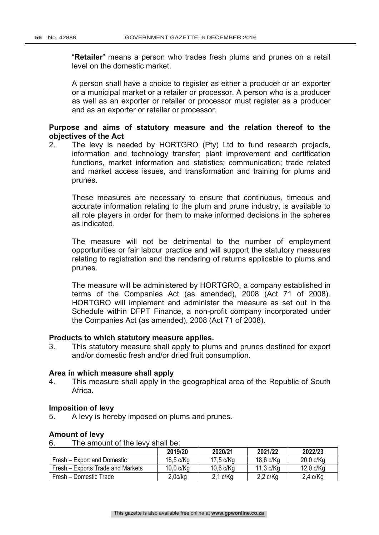"**Retailer**" means a person who trades fresh plums and prunes on a retail level on the domestic market.

A person shall have a choice to register as either a producer or an exporter or a municipal market or a retailer or processor. A person who is a producer as well as an exporter or retailer or processor must register as a producer and as an exporter or retailer or processor.

# **Purpose and aims of statutory measure and the relation thereof to the objectives of the Act**

2. The levy is needed by HORTGRO (Pty) Ltd to fund research projects, information and technology transfer; plant improvement and certification functions, market information and statistics; communication; trade related and market access issues, and transformation and training for plums and prunes.

These measures are necessary to ensure that continuous, timeous and accurate information relating to the plum and prune industry, is available to all role players in order for them to make informed decisions in the spheres as indicated.

The measure will not be detrimental to the number of employment opportunities or fair labour practice and will support the statutory measures relating to registration and the rendering of returns applicable to plums and prunes.

The measure will be administered by HORTGRO, a company established in terms of the Companies Act (as amended), 2008 (Act 71 of 2008). HORTGRO will implement and administer the measure as set out in the Schedule within DFPT Finance, a non-profit company incorporated under the Companies Act (as amended), 2008 (Act 71 of 2008).

# **Products to which statutory measure applies.**

3. This statutory measure shall apply to plums and prunes destined for export and/or domestic fresh and/or dried fruit consumption.

# **Area in which measure shall apply**

4. This measure shall apply in the geographical area of the Republic of South Africa.

# **Imposition of levy**

5. A levy is hereby imposed on plums and prunes.

# **Amount of levy**

6. The amount of the levy shall be:

|                                   | 2019/20        | 2020/21       | 2021/22        | 2022/23        |
|-----------------------------------|----------------|---------------|----------------|----------------|
| Fresh – Export and Domestic       | $16,5$ c/ $Kq$ | 17,5 c/Kg     | 18,6 c/Kg      | $20,0$ c/Kg    |
| Fresh – Exports Trade and Markets | 10,0 c/Kg      | 10,6 c/Kg     | $11,3$ c/ $Kq$ | $12,0$ c/ $Kq$ |
| Fresh - Domestic Trade            | 2.0c/kg        | $2,1$ c/ $Kg$ | $2,2$ c/Kg     | $2,4$ c/Kg     |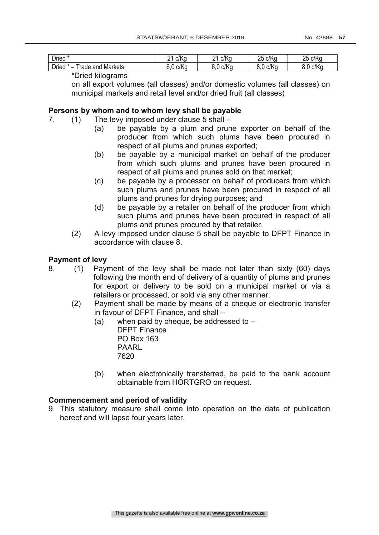| <b>Dried</b>                                      | c/K<br>ע∨י<br>יש<br><u>.</u> | c/Ko<br>ິ<br><u>_</u> | c/Kg<br>つに<br>∠∪ | c/Ko<br>つに<br>◡<br>∠∪ |
|---------------------------------------------------|------------------------------|-----------------------|------------------|-----------------------|
| <b>Dried</b><br>÷<br>Markets<br>rade<br>∘and<br>- | c/Kc<br>$\sqrt{2}$<br>◡      | c/Kg<br>$\sim$<br>v.v | c/Ko<br>ົົ       | c/Kc<br>ົ<br><br>v.v  |

\*Dried kilograms

on all export volumes (all classes) and/or domestic volumes (all classes) on municipal markets and retail level and/or dried fruit (all classes)

# **Persons by whom and to whom levy shall be payable**

- 7. (1) The levy imposed under clause 5 shall
	- (a) be payable by a plum and prune exporter on behalf of the producer from which such plums have been procured in respect of all plums and prunes exported;
	- (b) be payable by a municipal market on behalf of the producer from which such plums and prunes have been procured in respect of all plums and prunes sold on that market;
	- (c) be payable by a processor on behalf of producers from which such plums and prunes have been procured in respect of all plums and prunes for drying purposes; and
	- (d) be payable by a retailer on behalf of the producer from which such plums and prunes have been procured in respect of all plums and prunes procured by that retailer.
	- (2) A levy imposed under clause 5 shall be payable to DFPT Finance in accordance with clause 8.

# **Payment of levy**

- 8. (1) Payment of the levy shall be made not later than sixty (60) days following the month end of delivery of a quantity of plums and prunes for export or delivery to be sold on a municipal market or via a retailers or processed, or sold via any other manner.
	- (2) Payment shall be made by means of a cheque or electronic transfer in favour of DFPT Finance, and shall –
		- (a) when paid by cheque, be addressed to  $-$ DFPT Finance PO Box 163 PAARL 7620
		- (b) when electronically transferred, be paid to the bank account obtainable from HORTGRO on request.

# **Commencement and period of validity**

9. This statutory measure shall come into operation on the date of publication hereof and will lapse four years later.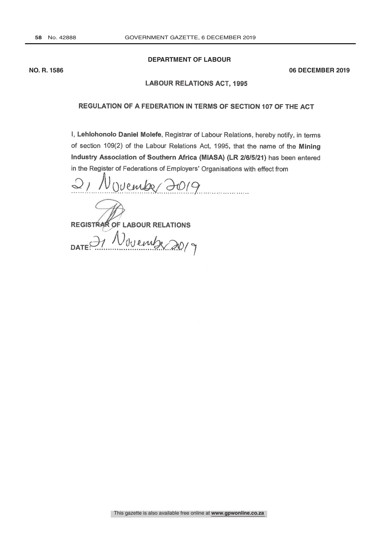# **DEPARTMENT OF LABOUR**

**NO. R. 1586 06 DECEMBER 2019**

#### **LABOUR RELATIONS ACT, 1995**

# REGULATION OF A FEDERATION IN TERMS OF SECTION 107 OF THE ACT

I, Lehlohonolo Daniel Molefe, Registrar of Labour Relations, hereby notify, in terms of section 109(2) of the Labour Relations Act, 1995, that the name of the Mining Industry Association of Southern Africa (MIASA) (LR 2/6/5/21) has been entered in the Register of Federations of Employers' Organisations with effect from

2, November 2019

REGISTRAR OF LABOUR RELATIONS

DATE OF November 2019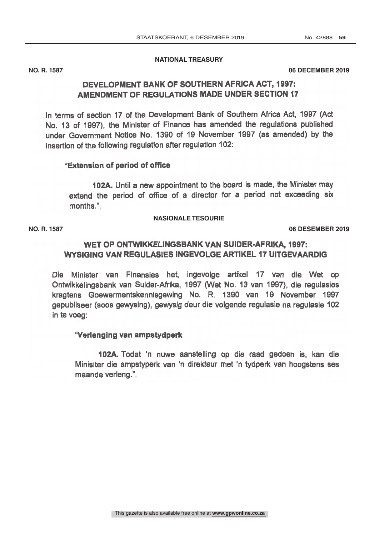### **NATIONAL TREASURY**

No. R.

**NO. R. 1587 06 DECEMBER 2019**

# DEVELOPMENT BANK OF SOUTHERN AFRICA ACT, 1997: AMENDMENT OF REGULATIONS MADE UNDER SECTION 17

In terms of section 17 of the Development Bank of Southern Africa Act, 1997 (Act No. 13 of 1997), the Minister of Finance has amended the regulations published under Government Notice No. 1390 of 19 November 1997 (as amended) by the insertion of the following regulation after regulation 102:

# "Extension of period of office

102A. Until a new appointment to the board is made, the Minister may extend the period of office of a director for a period not exceeding six months."

# **NASIONALE TESOURIE**

GOEWERMENTSKEIN<br>GOEWER No. R. 2019 **NO. R. 1587 06 DESEMBER 2019**

# WET OP ONTWIKKELINGSBANK VAN SUIDER- AFRIKA, 1997: WYSIGING VAN REGULASIES INGEVOLGE ARTIKEL 17 UITGEVAARDIG

Die Minister van Finansies het, ingevolge artikel <sup>17</sup> van die Wet op Ontwikkelingsbank van Suider -Afrika, 1997 (Wet No. 13 van 1997), die regulasies kragtens Goewermentskennisgewing No. R. 1390 van 19 November 1997 gepubliseer (soos gewysing), gewysig deur die volgende regulasie na regulasie 102 in te voeg:

# "Verlenging van ampstydperk

102A. Todat 'n nuwe aanstelling op die raad gedoen is, kan die Minisiter die ampstyperk van 'n direkteur met 'n tydperk van hoogstens ses maande verleng."